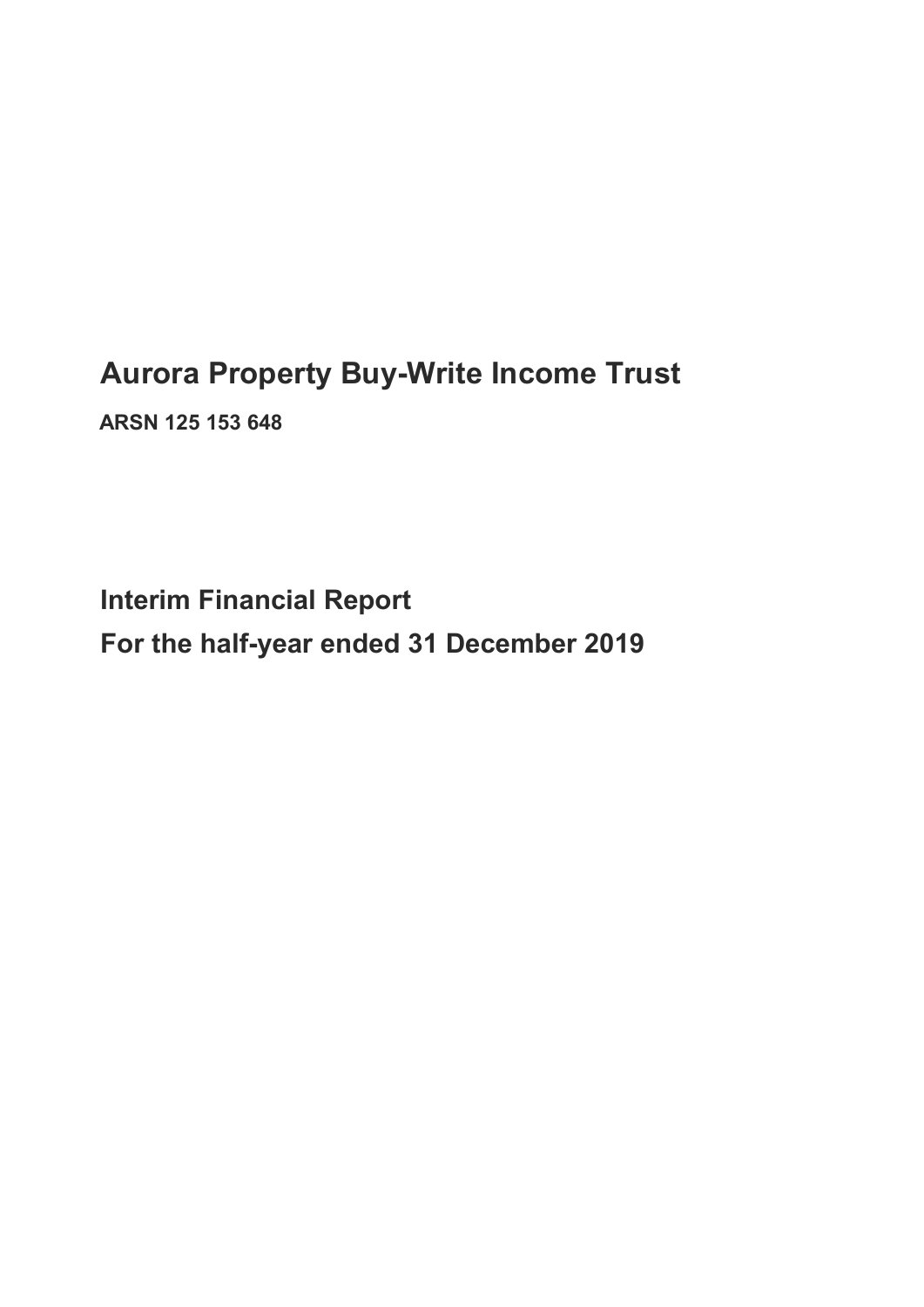## Aurora Property Buy-Write Income Trust

ARSN 125 153 648

Interim Financial Report For the half-year ended 31 December 2019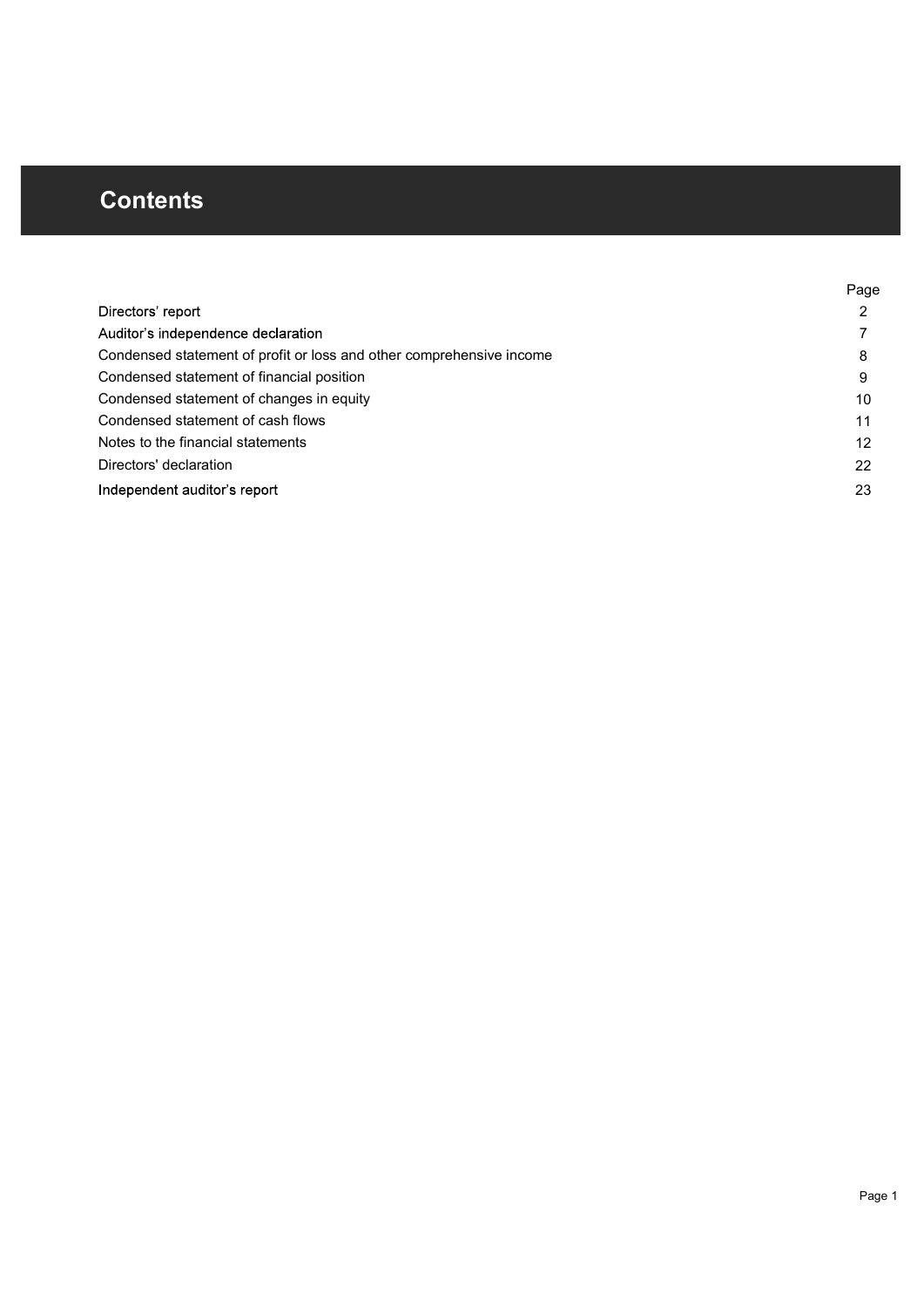## **Contents**

|                                                                      | Page |
|----------------------------------------------------------------------|------|
| Directors' report                                                    | ົ    |
| Auditor's independence declaration                                   |      |
| Condensed statement of profit or loss and other comprehensive income | 8    |
| Condensed statement of financial position                            | 9    |
| Condensed statement of changes in equity                             | 10   |
| Condensed statement of cash flows                                    | 11   |
| Notes to the financial statements                                    | 12   |
| Directors' declaration                                               | 22   |
| Independent auditor's report                                         | 23   |
|                                                                      |      |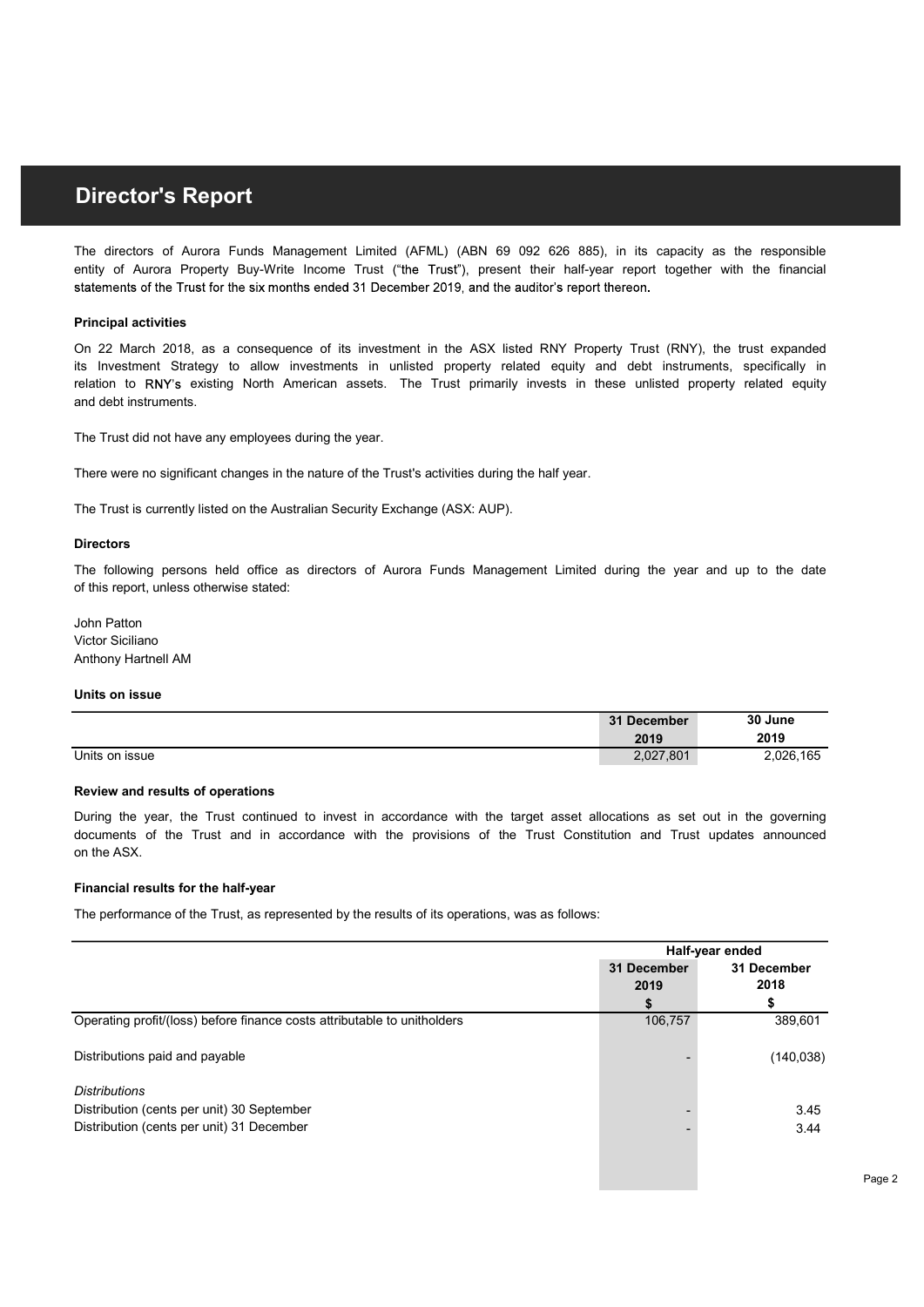**Director's Report**<br>The directors of Aurora Funds Management Limited (AFML) (ABN 69 092 626 885), in its capacity as the responsible<br>entity of Aurora Property Buy-Write Income Trust ("the Trust"), present their half-year r **Director's Report**<br>The directors of Aurora Funds Management Limited (AFML) (ABN 69 092 626 885), in its capacity as the responsible<br>entity of Aurora Property Buy-Write Income Trust ("the Trust"), present their half-year r

#### Principal activities

and debt instruments. Units on issue 2,012, we are subsequente to its investment in units rook is tell from Property itself (Witz Piet and results of operation to SRY and det institutions its specifically in the substant of the Nustrial point **Director's Report**<br>The directors of Aurora Funds Management Limited (AFML) (ABN 69.092.626.685), in its capacity as the responsible<br>entity of Aurora Property Buy-Write Income Trust (the Trust'), present their half-year re **Director's Report**<br>The directors of Aurora Funds Management Limited (AFML) (ABN 69 092 626 885). In its capacity as the responsible<br>entity of Aurora Property Buy-Write Income Trust ("the Trust"), present their half-year r **Director's Report**<br>The directors of Aurora Funds Management Limited (AFML) (ABN 69 092 626 885), in its capacity as the responsible<br>entity of Aurora Property Buy-Wirle Income Trust ("the Trust"), present their half-year r **Director's Report**<br>The directors of Aurora Funds Management Limited (AFML) (ABN 69 092 626 885), in its capacity as the responsible<br>entity of Aurora Property Buy-Wirle income Triats (The Triats), present their haff-year o

#### **Directors**

#### Units on issue

| The Trust did not have any employees during the year.                                                                                                                                                                                                           |                     |                 |
|-----------------------------------------------------------------------------------------------------------------------------------------------------------------------------------------------------------------------------------------------------------------|---------------------|-----------------|
| There were no significant changes in the nature of the Trust's activities during the half year.                                                                                                                                                                 |                     |                 |
| The Trust is currently listed on the Australian Security Exchange (ASX: AUP).                                                                                                                                                                                   |                     |                 |
| <b>Directors</b>                                                                                                                                                                                                                                                |                     |                 |
| The following persons held office as directors of Aurora Funds Management Limited during the year and up to the date<br>of this report, unless otherwise stated:                                                                                                |                     |                 |
| John Patton<br>Victor Siciliano<br>Anthony Hartnell AM                                                                                                                                                                                                          |                     |                 |
| Units on issue                                                                                                                                                                                                                                                  |                     |                 |
|                                                                                                                                                                                                                                                                 | 31 December<br>2019 | 30 June<br>2019 |
| Units on issue                                                                                                                                                                                                                                                  | 2,027,801           | 2,026,165       |
| Review and results of operations                                                                                                                                                                                                                                |                     |                 |
| During the year, the Trust continued to invest in accordance with the target asset allocations as set out in the governing<br>documents of the Trust and in accordance with the provisions of the Trust Constitution and Trust updates announced<br>on the ASX. |                     |                 |
| Financial results for the half-year                                                                                                                                                                                                                             |                     |                 |
| The performance of the Trust, as represented by the results of its operations, was as follows:                                                                                                                                                                  |                     |                 |
|                                                                                                                                                                                                                                                                 |                     |                 |

#### Financial results for the half-year

| The following persons held office as directors of Aurora Funds Management Limited during the year and up to the date |             |                 |
|----------------------------------------------------------------------------------------------------------------------|-------------|-----------------|
| of this report, unless otherwise stated:                                                                             |             |                 |
| John Patton                                                                                                          |             |                 |
| Victor Siciliano                                                                                                     |             |                 |
| Anthony Hartnell AM                                                                                                  |             |                 |
| Units on issue                                                                                                       |             |                 |
|                                                                                                                      | 31 December | 30 June         |
|                                                                                                                      | 2019        | 2019            |
| Units on issue                                                                                                       | 2,027,801   | 2,026,165       |
| Review and results of operations                                                                                     |             |                 |
| documents of the Trust and in accordance with the provisions of the Trust Constitution and Trust updates announced   |             |                 |
| on the ASX.                                                                                                          |             |                 |
| Financial results for the half-year                                                                                  |             |                 |
| The performance of the Trust, as represented by the results of its operations, was as follows:                       |             |                 |
|                                                                                                                      |             |                 |
|                                                                                                                      |             | Half-year ended |
|                                                                                                                      | 31 December | 31 December     |
|                                                                                                                      | 2019<br>\$  | 2018<br>\$      |
| Operating profit/(loss) before finance costs attributable to unitholders                                             | 106,757     | 389,601         |
| Distributions paid and payable                                                                                       |             | (140, 038)      |
|                                                                                                                      |             |                 |
| <b>Distributions</b>                                                                                                 |             |                 |
| Distribution (cents per unit) 30 September                                                                           |             | 3.45            |
| Distribution (cents per unit) 31 December                                                                            |             | 3.44            |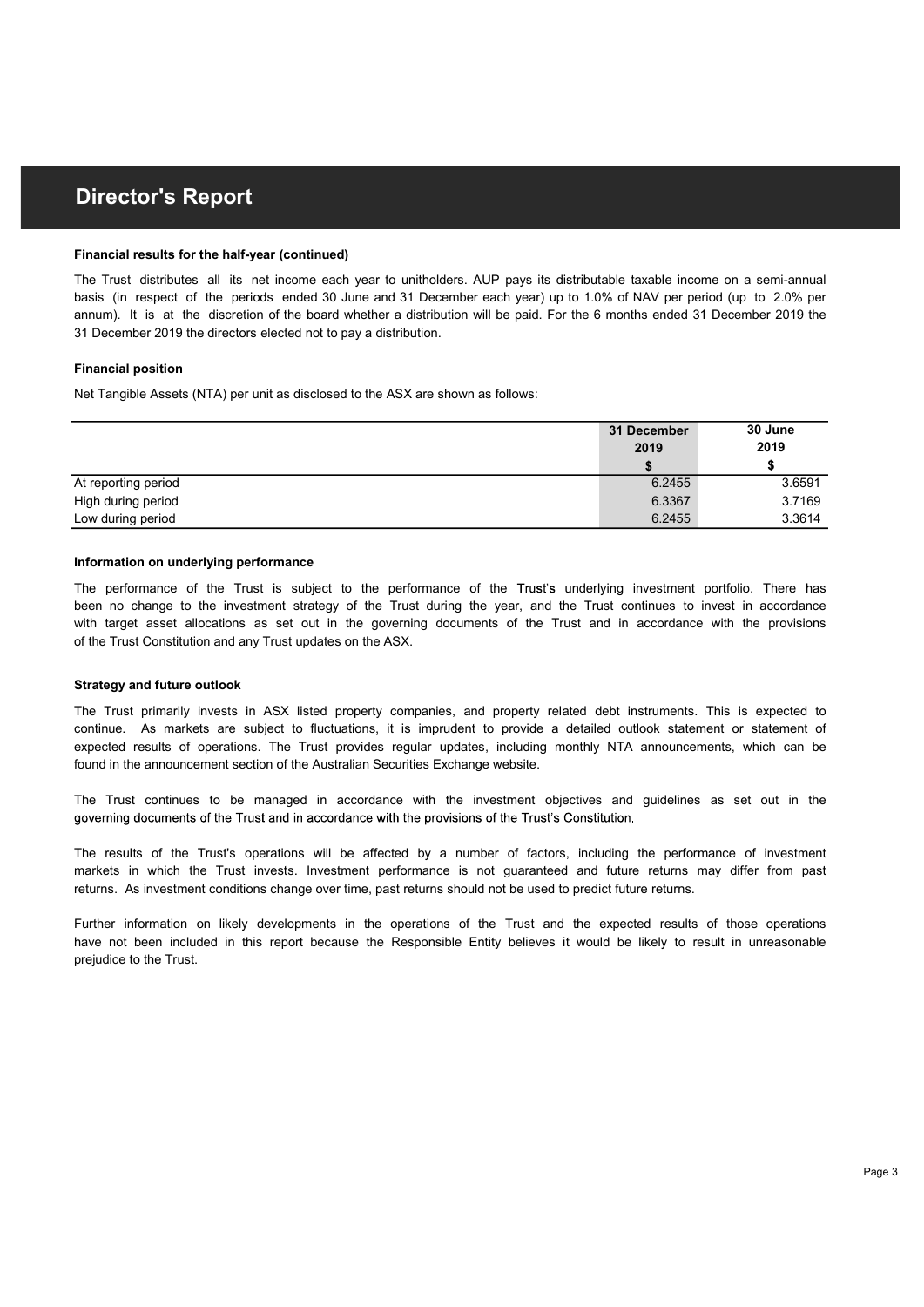#### Financial results for the half-year (continued)

31 December 2019 the directors elected not to pay a distribution. **Director's Report**<br>The Trust distributes all its net income each year to unitholders. AUP pays its distributable taxable income on a semi-annual<br>basis (in respect of the periods ended 30 June and 31 December each year) up **Director's Report**<br>Financial results for the half-year (continued)<br>The Trust distributes all its net income each year to unitholders. AUP pays its distributable taxable income on a semi-annual<br>basis (in respect of the per **Director's Report**<br>Financial results for the half-year (continued)<br>The Trust distributes all its net income each year to unitholders. AUP pays its distributable taxable income on a semi-annual<br>basis (in respect of the per

#### Financial position

| <b>Director's Report</b>                                                                                                                                                                                                                                                                                                                                                                                                                                           |                     |                      |  |  |  |
|--------------------------------------------------------------------------------------------------------------------------------------------------------------------------------------------------------------------------------------------------------------------------------------------------------------------------------------------------------------------------------------------------------------------------------------------------------------------|---------------------|----------------------|--|--|--|
| Financial results for the half-year (continued)                                                                                                                                                                                                                                                                                                                                                                                                                    |                     |                      |  |  |  |
| The Trust distributes all its net income each year to unitholders. AUP pays its distributable taxable income on a semi-annual<br>basis (in respect of the periods ended 30 June and 31 December each year) up to 1.0% of NAV per period (up to 2.0% per<br>annum). It is at the discretion of the board whether a distribution will be paid. For the 6 months ended 31 December 2019 the<br>31 December 2019 the directors elected not to pay a distribution.      |                     |                      |  |  |  |
| <b>Financial position</b>                                                                                                                                                                                                                                                                                                                                                                                                                                          |                     |                      |  |  |  |
| Net Tangible Assets (NTA) per unit as disclosed to the ASX are shown as follows:                                                                                                                                                                                                                                                                                                                                                                                   |                     |                      |  |  |  |
|                                                                                                                                                                                                                                                                                                                                                                                                                                                                    | 31 December<br>2019 | 30 June<br>2019<br>S |  |  |  |
| At reporting period                                                                                                                                                                                                                                                                                                                                                                                                                                                | 6.2455              | 3.6591               |  |  |  |
| High during period<br>Low during period                                                                                                                                                                                                                                                                                                                                                                                                                            | 6.3367<br>6.2455    | 3.7169<br>3.3614     |  |  |  |
|                                                                                                                                                                                                                                                                                                                                                                                                                                                                    |                     |                      |  |  |  |
| Information on underlying performance                                                                                                                                                                                                                                                                                                                                                                                                                              |                     |                      |  |  |  |
| The performance of the Trust is subject to the performance of the Trust's underlying investment portfolio. There has<br>been no change to the investment strategy of the Trust during the year, and the Trust continues to invest in accordance<br>with target asset allocations as set out in the governing documents of the Trust and in accordance with the provisions<br>of the Trust Constitution and any Trust updates on the ASX.                           |                     |                      |  |  |  |
| <b>Strategy and future outlook</b>                                                                                                                                                                                                                                                                                                                                                                                                                                 |                     |                      |  |  |  |
| The Trust primarily invests in ASX listed property companies, and property related debt instruments. This is expected to<br>continue. As markets are subject to fluctuations, it is imprudent to provide a detailed outlook statement or statement of<br>expected results of operations. The Trust provides regular updates, including monthly NTA announcements, which can be<br>found in the announcement section of the Australian Securities Exchange website. |                     |                      |  |  |  |
| The Trust continues to be managed in accordance with the investment objectives and guidelines as set out in the<br>governing documents of the Trust and in accordance with the provisions of the Trust's Constitution.                                                                                                                                                                                                                                             |                     |                      |  |  |  |
| The results of the Trust's operations will be affected by a number of factors, including the performance of investment<br>markets in which the Trust invests. Investment performance is not guaranteed and future returns may differ from past<br>returns. As investment conditions change over time, past returns should not be used to predict future returns.                                                                                                   |                     |                      |  |  |  |
| Further information on likely developments in the operations of the Trust and the expected results of those operations<br>have not been included in this report because the Responsible Entity believes it would be likely to result in unreasonable                                                                                                                                                                                                               |                     |                      |  |  |  |

#### Information on underlying performance

of the Trust Constitution and any Trust updates on the ASX. Mireporting period<br>Eigenting period 6.3367<br>Elevy during period 6.3367<br>Elevy during period 6.3367<br>The performance of the Trust is subject to the performance of the Trust's underlying investment portfolio. There has<br>twitt ha Information on underlying performance<br>The performance of the Trust is subject to the performance of the Trust's underlying investment portfolio. There has<br>been no change to the investment strategy of the Trust during the y **End to the metallies of the Trust is added** to the performance of the Trust's underlying investment portfolio. There has the performance of the Trust developments in the performance of the Trust and the Trust conditions i

#### Strategy and future outlook

prejudice to the Trust.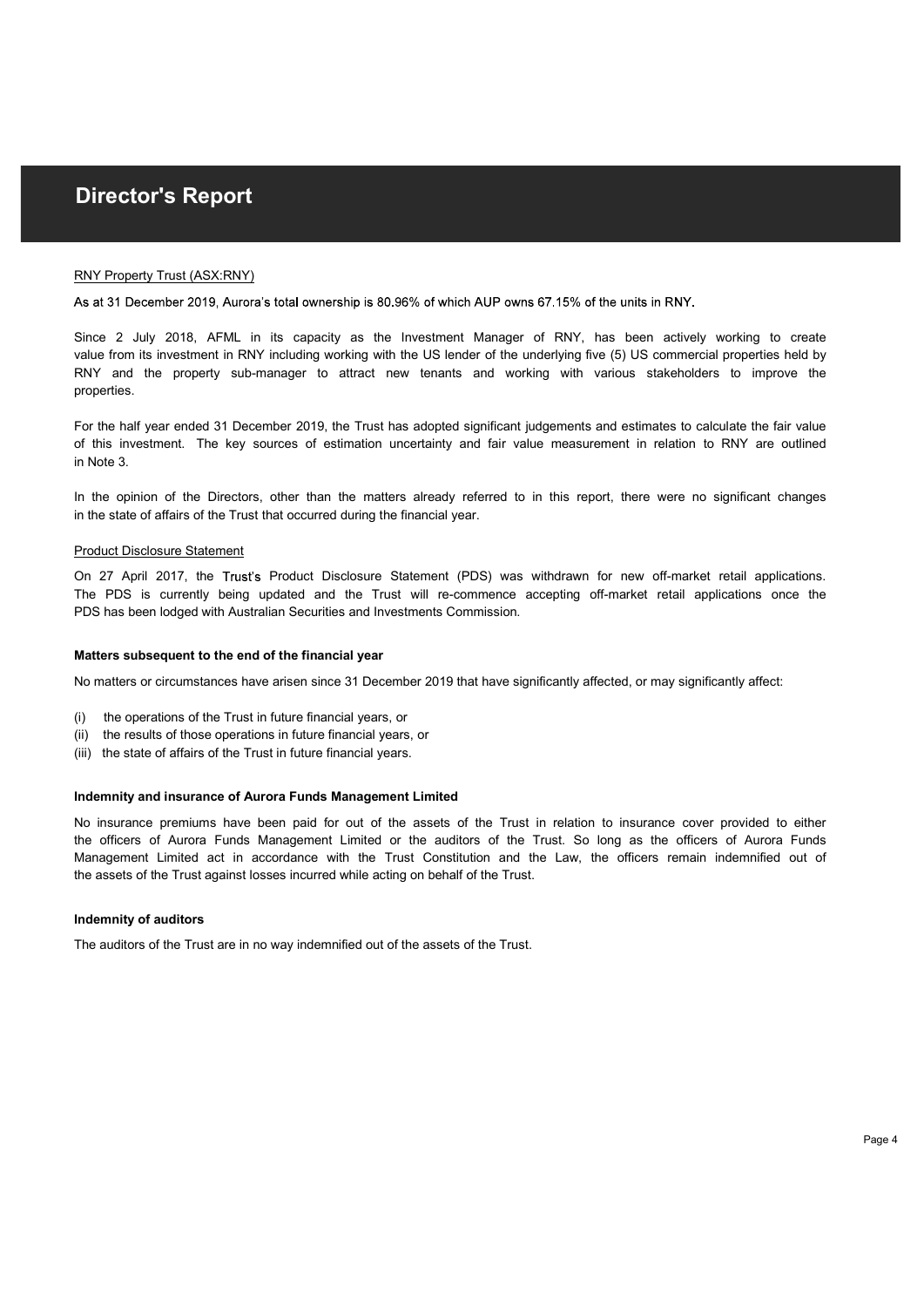#### RNY Property Trust (ASX:RNY)

properties. **In the operator of the Oxygen Control of the opinion of the Oxygen STS% of the units in RNY.**<br>
Stat 31 December 2019, Aurora's total conversible is 80,96% of which AUP owns 67.15% of the units in RNY.<br>
Since 2 July 2018, **Director's Report**<br>
RNY Property Tratat (ASX:RNY)<br>
As at 31 December 2019, Autors's total exemptibility is 80,96% of which AUP owns 67.15% of the units in RNY.<br>
Since 2 July 2018, AFMU. In its capacity as the Investment M **Director's Report**<br> **ENY Property Trust (ASX:RNY)**<br>
As at 31 December 2019, Aurora's total ownership is 80.96% of which AUP owns 67.15% of the units in RNY.<br>
Since 2. July 2018, AFML in its capacity as the investment Mana **Director's Report**<br>Since 2 July 2018, AFML in its capacity as 80.96% of which AUP owns 67.15% of the units in RNY,<br>Since 2 July 2018, AFML in its capacity as the Investment Manager of RNY, has been actively working to cre **Director's Report**<br>
<u>RNY Property Trust (ASX-RNY)</u><br>
As at 31 December 2019, Aurora's total ownership is 80,96% of which AUP owns 57.15% of the units in RNY.<br>
Since 2 July 2018, AFML in its capacity as the linestment Manag **Director's Report**<br>RNY Property Trus<u>t (ASX:RNY)</u><br>As at 31 December 2019, Aurora's total ownership is 80.96% of which AUP owns 67.15% of the units in RNY.<br>Since 2 July 2018, AFML in its capacity as the Investment Manager **Director's Report**<br>For the half (ASX-RNY)<br>As at 31 December 2019, Aurora's total ownership is 80,96% of which AUP owns 67.15% of the units in RNY,<br>Since 2 July 2018, AFML in its capacity as the Investment Manager of RNY, **Director's Report**<br> **ENY Property Trust (ASX:RNY)**<br>
As at 31 December 2019, Aurora's total ownership is 80,96% of which AUP owns 67.15% of the units in RNY.<br>
Since 2 July 2018, AFML in its capacity as the Investment Manag

in Note 3.

in the state of affairs of the Trust that occurred during the financial year.

#### Product Disclosure Statement

PDS has been lodged with Australian Securities and Investments Commission.

#### Matters subsequent to the end of the financial year

No matters or circumstances have arisen since 31 December 2019 that have significantly affected, or may significantly affect:

- (i) the operations of the Trust in future financial years, or
- (ii) the results of those operations in future financial years, or
- (iii) the state of affairs of the Trust in future financial years.

#### Indemnity and insurance of Aurora Funds Management Limited

the assets of the Trust against losses incurred while acting on behalf of the Trust. of histi investiment. The key sources of estimation uncertainty and fair value measurement in relation to RNY are outlined<br>in NA o.<br>Similar the opinion of the Directors, other than the matters already referred to in this r For the half year ended 31 December 2019, the Trust has adopted significant judgements and estimates to calculate the fair value<br>of this investment. The key sources of estimation uncertainty and fair value measurement in r In Note 3.<br>In the opinion of the Directors, other than the matters already referred to in this report, there were no significant changes<br>In the opinion of the Directors, other than the matters during the financial year.<br>Pr

#### Indemnity of auditors

The auditors of the Trust are in no way indemnified out of the assets of the Trust.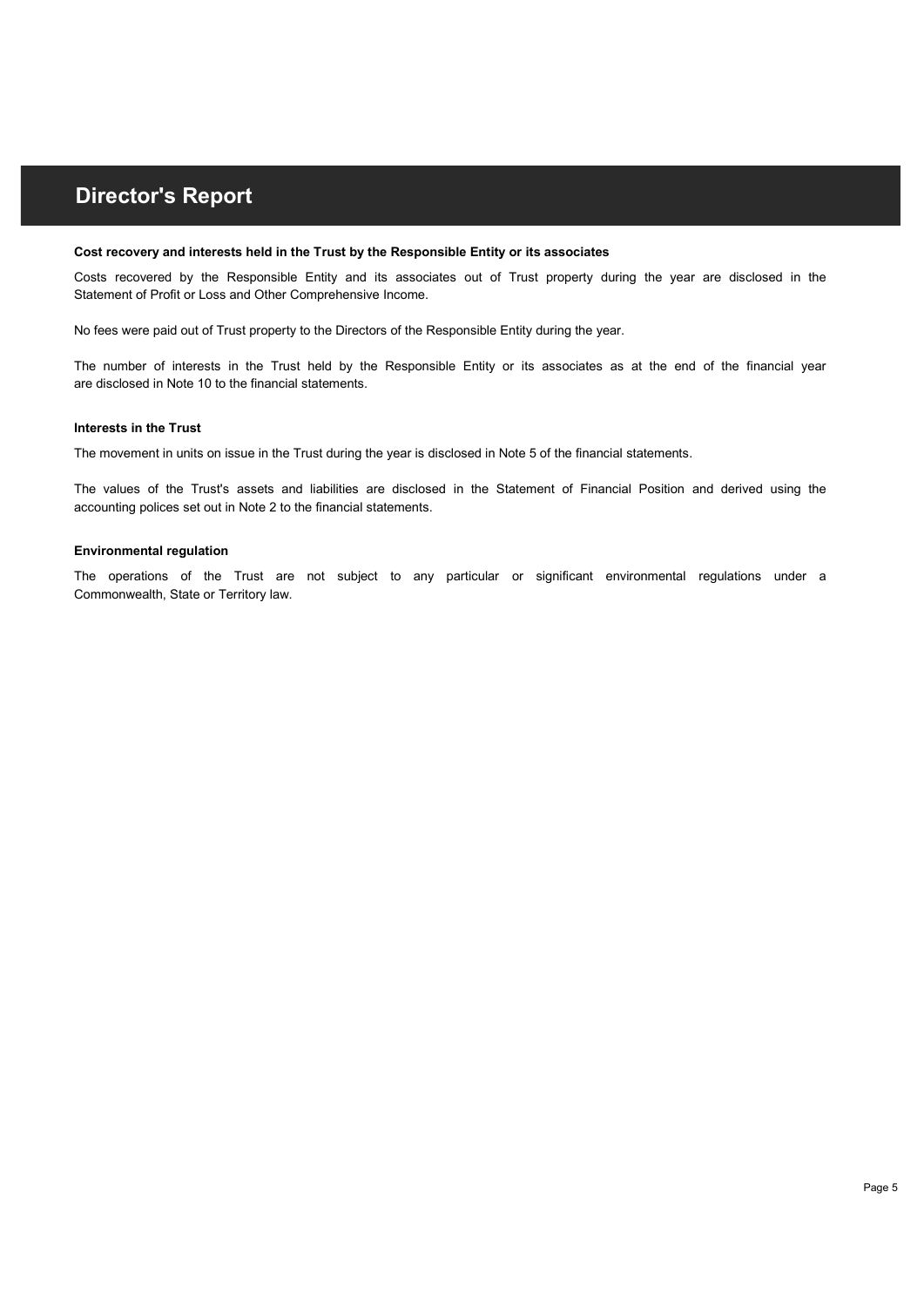#### Cost recovery and interests held in the Trust by the Responsible Entity or its associates

Statement of Profit or Loss and Other Comprehensive Income. **Director's Report**<br>Cost recovered by the Responsible Entity and its associates out of Trust property during the year are disclosed in the<br>Statement of Profit or Loss and Other Comprehensive Income.<br>No fees were paid out o **Director's Report**<br>Cost recovery and Interests held in the Trust by the Responsible Entity or its associates<br>Claiment of Profit or Use Responsible Entity and its associates at of Trust property during the year are disclos

No fees were paid out of Trust property to the Directors of the Responsible Entity during the year.

are disclosed in Note 10 to the financial statements.

#### Interests in the Trust

The movement in units on issue in the Trust during the year is disclosed in Note 5 of the financial statements.

accounting polices set out in Note 2 to the financial statements. **Director's Report**<br>Cost recovery and interests held in the Trust by the Responsible Entity or its associates<br>Costs recovered by the Responsible Entity and its associates out of Trust property during the year are disclosed **Director's Report**<br>Cost recovery and interests held in the Trust by the Responsible Entity or its associates<br>Costs recovered by the Responsible Entity and Its associates out of Trust property during the year are disclosed

#### Environmental regulation

Commonwealth, State or Territory law.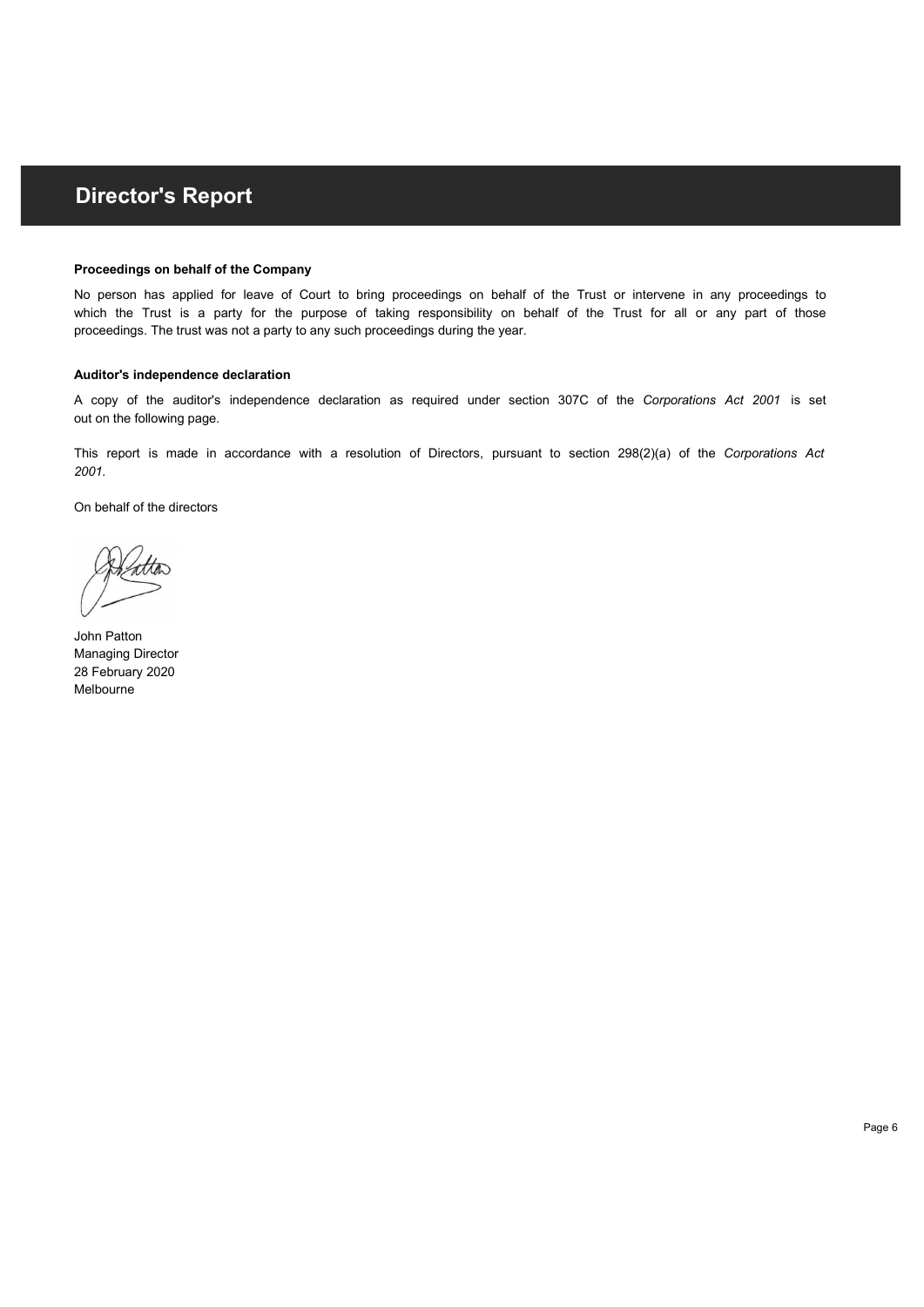#### Proceedings on behalf of the Company

proceedings. The trust was not a party to any such proceedings during the year. **Director's Report**<br>Proceedings on behalf of the Company<br>No parson has a spined for law or Court to bring proceedings on behalf of the Trust or intervene in any proceedings to<br>herefore the Trust is a party for the pursose **Director's Report**<br>Proceedings on behalf of the Company<br>No person has applied for leave of Court to bring proceedings on behalf of the Trust or intervene in any proceedings to<br>which the Trust is a party for the purpose of **Director's Report**<br>Proceedings on behalf of the Company<br>No person has applied for take of Court to bring proceedings on behalf of the Trust or intervene in any proceedings to<br>which the Trust is a party for the purpose of **Director's Report**<br>Proceedings on behalf of the Company<br>No person has applied for leave of Court to bring proceedings on behalf of the Trust or intervene in any proceedings to<br>Which the Trust is a party for the purpose of

#### Auditor's independence declaration

out on the following page.

2001.

On behalf of the directors

John Patton Managing Director 28 February 2020 Melbourne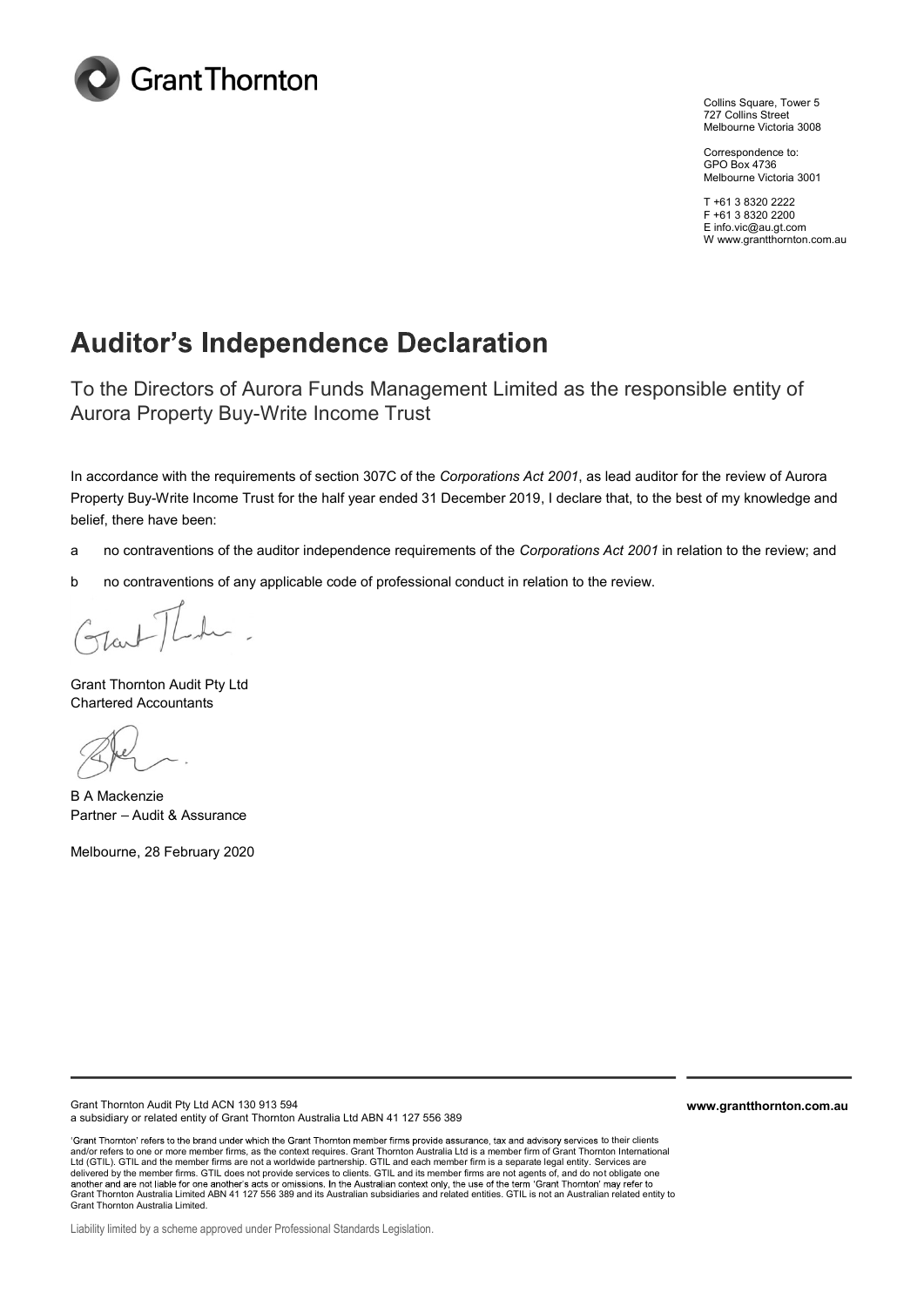

Collins Square, Tower 5 727 Collins Street Melbourne Victoria 3008

Correspondence to: GPO Box 4736 Melbourne Victoria 3001

T +61 3 8320 2222 F +61 3 8320 2200 E info.vic@au.gt.com W www.grantthornton.com.au

## **Auditor's Independence Declaration**

To the Directors of Aurora Funds Management Limited as the responsible entity of Aurora Property Buy-Write Income Trust

In accordance with the requirements of section 307C of the Corporations Act 2001, as lead auditor for the review of Aurora Property Buy-Write Income Trust for the half year ended 31 December 2019, I declare that, to the best of my knowledge and belief, there have been:

- a no contraventions of the auditor independence requirements of the Corporations Act 2001 in relation to the review; and
- b no contraventions of any applicable code of professional conduct in relation to the review.

Grant Thornton Audit Pty Ltd Chartered Accountants

B A Mackenzie Partner - Audit & Assurance

Melbourne, 28 February 2020

Grant Thornton Audit Pty Ltd ACN 130 913 594 a subsidiary or related entity of Grant Thornton Australia Ltd ABN 41 127 556 389

'Grant Thornton' refers to the brand under which the Grant Thornton member firms provide assurance, tax and advisory services to their clients and/or refers to one or more member firms, as the context requires. Grant Thornton Australia Ltd is a member firm of Grant Thornton International Ltd (GTIL). GTIL and the member firms are not a worldwide partnership. GTIL and each member firm is a separate legal entity. Services are delivered by the member firms. GTIL does not provide services to clients. GTIL and its member firms are not agents of, and do not obligate one Grant Thornton Australia Limited ABN 41 127 556 389 and its Australian context only, the use of the term 'Grant Thornton' may refer to<br>Grant Thornton Australia Limited ABN 41 127 556 389 and its Australian subsidiaries and Grant Thornton Australia Limited.

www.grantthornton.com.au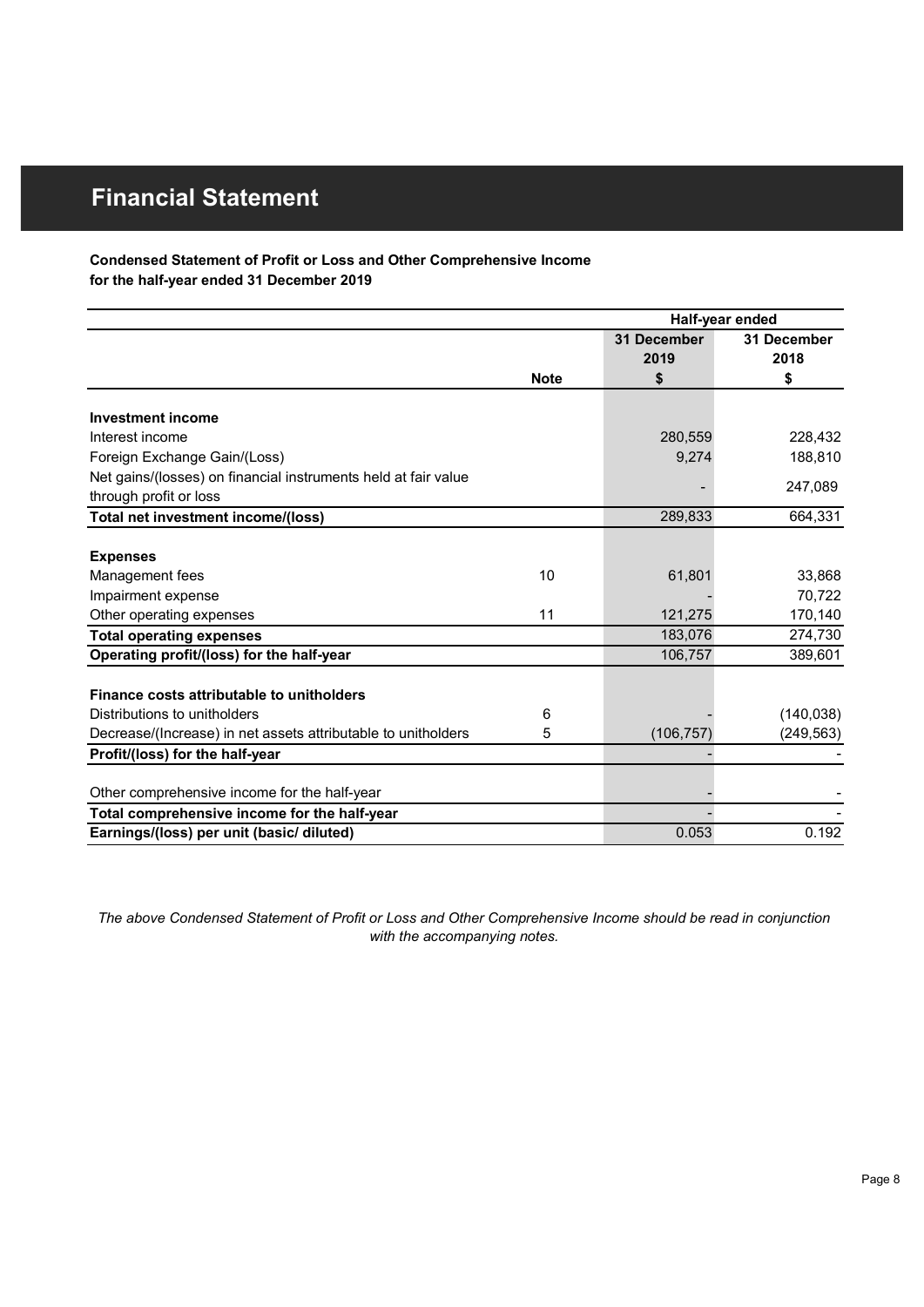### Condensed Statement of Profit or Loss and Other Comprehensive Income for the half-year ended 31 December 2019

| <b>Financial Statement</b>                                                                                       |             |                 |             |
|------------------------------------------------------------------------------------------------------------------|-------------|-----------------|-------------|
|                                                                                                                  |             |                 |             |
|                                                                                                                  |             |                 |             |
| Condensed Statement of Profit or Loss and Other Comprehensive Income<br>for the half-year ended 31 December 2019 |             |                 |             |
|                                                                                                                  |             |                 |             |
|                                                                                                                  |             | Half-year ended |             |
|                                                                                                                  |             | 31 December     | 31 December |
|                                                                                                                  |             | 2019            | 2018        |
|                                                                                                                  | <b>Note</b> | \$              | \$          |
| <b>Investment income</b>                                                                                         |             |                 |             |
| Interest income                                                                                                  |             | 280,559         | 228,432     |
| Foreign Exchange Gain/(Loss)                                                                                     |             | 9,274           | 188,810     |
| Net gains/(losses) on financial instruments held at fair value                                                   |             | $\blacksquare$  | 247,089     |
| through profit or loss                                                                                           |             |                 |             |
| Total net investment income/(loss)                                                                               |             | 289,833         | 664,331     |
| <b>Expenses</b>                                                                                                  |             |                 |             |
| Management fees                                                                                                  | 10          | 61,801          | 33,868      |
| Impairment expense                                                                                               |             |                 | 70,722      |
| Other operating expenses                                                                                         | 11          | 121,275         | 170,140     |
| <b>Total operating expenses</b>                                                                                  |             | 183,076         | 274,730     |
| Operating profit/(loss) for the half-year                                                                        |             | 106,757         | 389,601     |
|                                                                                                                  |             |                 |             |
| Finance costs attributable to unitholders                                                                        |             |                 |             |
| Distributions to unitholders                                                                                     | 6           |                 | (140, 038)  |
| Decrease/(Increase) in net assets attributable to unitholders                                                    | 5           | (106, 757)      | (249, 563)  |
| Profit/(loss) for the half-year                                                                                  |             |                 |             |
| Other comprehensive income for the half-year                                                                     |             |                 |             |
|                                                                                                                  |             |                 |             |
| Total comprehensive income for the half-year                                                                     |             |                 |             |

The above Condensed Statement of Profit or Loss and Other Comprehensive Income should be read in conjunction with the accompanying notes.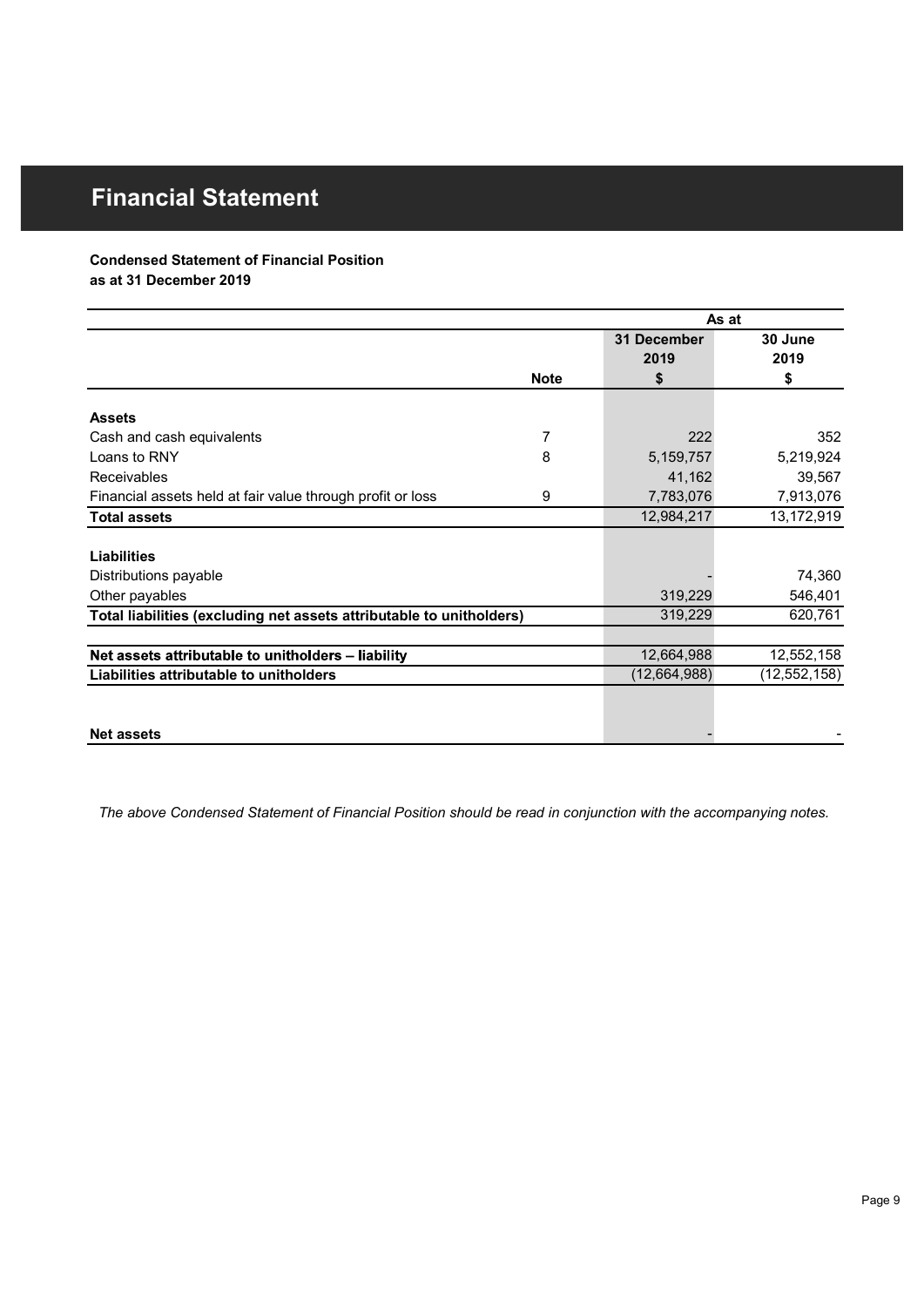### Condensed Statement of Financial Position

| <b>Financial Statement</b>                                           |                  |              |                |
|----------------------------------------------------------------------|------------------|--------------|----------------|
|                                                                      |                  |              |                |
|                                                                      |                  |              |                |
| <b>Condensed Statement of Financial Position</b>                     |                  |              |                |
| as at 31 December 2019                                               |                  |              |                |
|                                                                      |                  |              |                |
|                                                                      |                  | As at        |                |
|                                                                      |                  | 31 December  | 30 June        |
|                                                                      |                  | 2019         | 2019           |
|                                                                      | <b>Note</b>      | \$           | \$             |
| <b>Assets</b>                                                        |                  |              |                |
| Cash and cash equivalents                                            | $\overline{7}$   | 222          | 352            |
| Loans to RNY                                                         | 8                | 5,159,757    | 5,219,924      |
| Receivables                                                          |                  | 41,162       | 39,567         |
| Financial assets held at fair value through profit or loss           | $\boldsymbol{9}$ | 7,783,076    | 7,913,076      |
| <b>Total assets</b>                                                  |                  | 12,984,217   | 13,172,919     |
|                                                                      |                  |              |                |
| <b>Liabilities</b>                                                   |                  |              |                |
| Distributions payable                                                |                  |              | 74,360         |
| Other payables                                                       |                  | 319,229      | 546,401        |
| Total liabilities (excluding net assets attributable to unitholders) |                  | 319,229      | 620,761        |
|                                                                      |                  |              |                |
| Net assets attributable to unitholders - liability                   |                  | 12,664,988   | 12,552,158     |
| Liabilities attributable to unitholders                              |                  | (12,664,988) | (12, 552, 158) |
|                                                                      |                  |              |                |
|                                                                      |                  |              |                |
|                                                                      |                  |              |                |

The above Condensed Statement of Financial Position should be read in conjunction with the accompanying notes.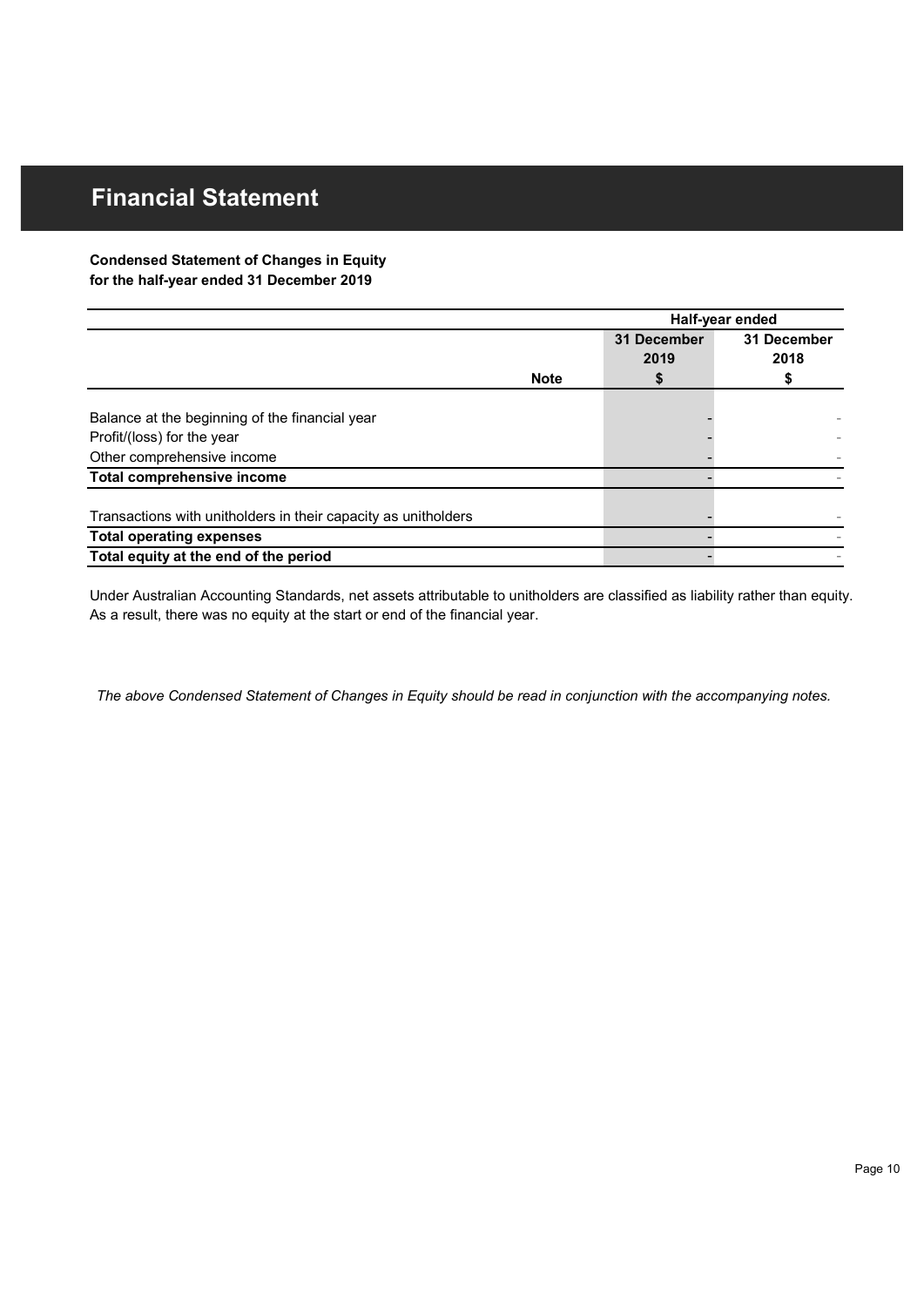### Condensed Statement of Changes in Equity for the half-year ended 31 December 2019

| <b>Financial Statement</b>                                               |             |             |                                |
|--------------------------------------------------------------------------|-------------|-------------|--------------------------------|
|                                                                          |             |             |                                |
|                                                                          |             |             |                                |
|                                                                          |             |             |                                |
| <b>Condensed Statement of Changes in Equity</b>                          |             |             |                                |
| for the half-year ended 31 December 2019                                 |             |             |                                |
|                                                                          |             |             |                                |
|                                                                          |             | 31 December | Half-year ended<br>31 December |
|                                                                          |             | 2019        | 2018                           |
|                                                                          | <b>Note</b> | \$          | \$                             |
|                                                                          |             |             |                                |
| Balance at the beginning of the financial year                           |             |             |                                |
| Profit/(loss) for the year                                               |             |             |                                |
| Other comprehensive income<br>Total comprehensive income                 |             |             |                                |
|                                                                          |             |             |                                |
| Transactions with unitholders in their capacity as unitholders           |             |             |                                |
| <b>Total operating expenses</b><br>Total equity at the end of the period |             |             |                                |

As a result, there was no equity at the start or end of the financial year.

The above Condensed Statement of Changes in Equity should be read in conjunction with the accompanying notes.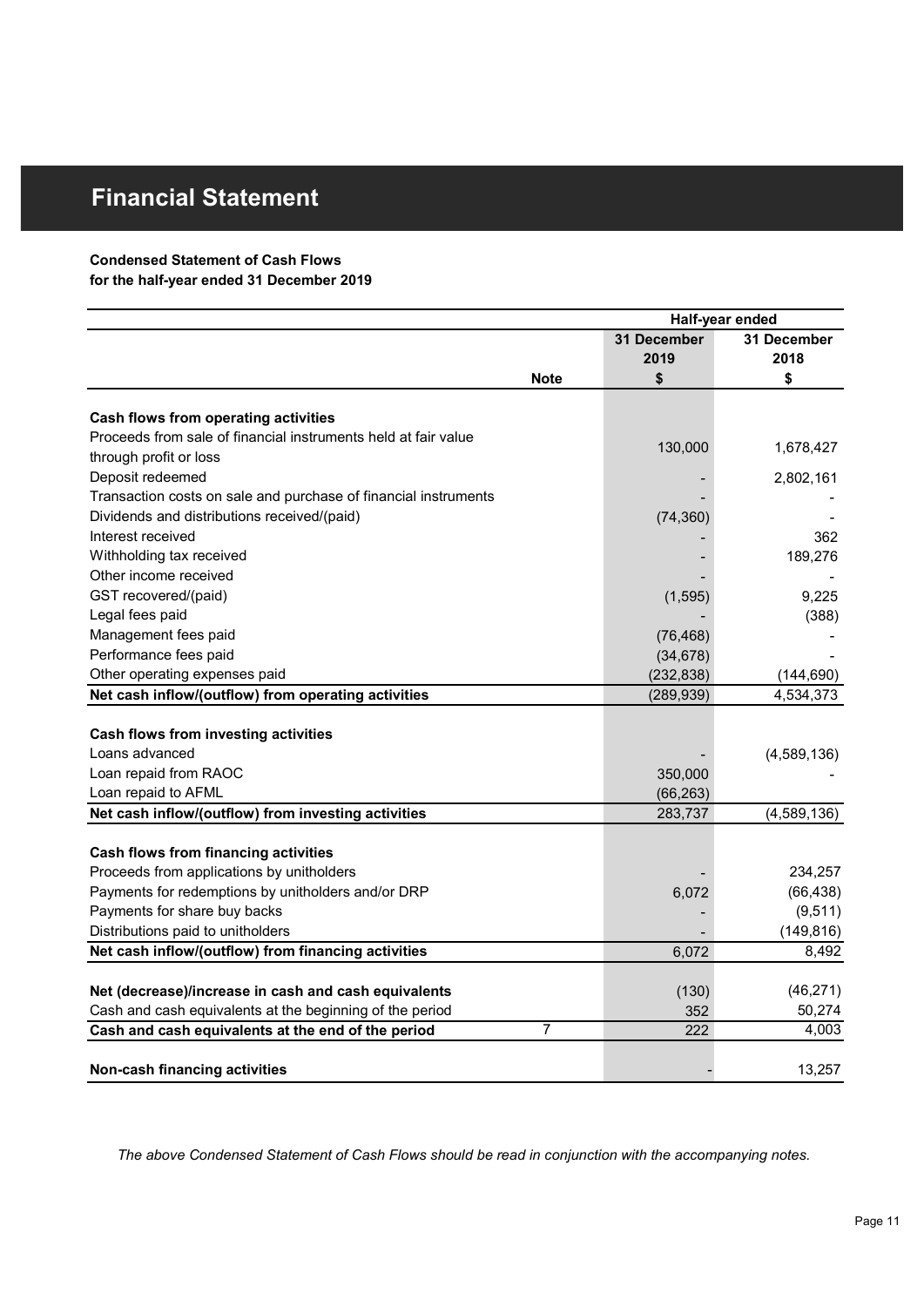### Condensed Statement of Cash Flows

| <b>Financial Statement</b>                                      |                |             |                 |
|-----------------------------------------------------------------|----------------|-------------|-----------------|
|                                                                 |                |             |                 |
|                                                                 |                |             |                 |
| <b>Condensed Statement of Cash Flows</b>                        |                |             |                 |
| for the half-year ended 31 December 2019                        |                |             |                 |
|                                                                 |                |             | Half-year ended |
|                                                                 |                | 31 December | 31 December     |
|                                                                 |                | 2019        | 2018            |
|                                                                 | <b>Note</b>    | S           | S               |
|                                                                 |                |             |                 |
| Cash flows from operating activities                            |                |             |                 |
| Proceeds from sale of financial instruments held at fair value  |                | 130,000     | 1,678,427       |
| through profit or loss                                          |                |             |                 |
| Deposit redeemed                                                |                |             | 2,802,161       |
| Transaction costs on sale and purchase of financial instruments |                |             |                 |
| Dividends and distributions received/(paid)                     |                | (74, 360)   |                 |
| Interest received                                               |                |             | 362             |
| Withholding tax received                                        |                |             | 189,276         |
| Other income received                                           |                |             |                 |
| GST recovered/(paid)                                            |                | (1, 595)    | 9,225           |
| Legal fees paid                                                 |                |             | (388)           |
| Management fees paid                                            |                | (76, 468)   |                 |
| Performance fees paid                                           |                | (34, 678)   |                 |
| Other operating expenses paid                                   |                | (232, 838)  | (144, 690)      |
| Net cash inflow/(outflow) from operating activities             |                | (289, 939)  | 4,534,373       |
| Cash flows from investing activities                            |                |             |                 |
| Loans advanced                                                  |                |             | (4,589,136)     |
| Loan repaid from RAOC                                           |                | 350,000     |                 |
| Loan repaid to AFML                                             |                | (66, 263)   |                 |
| Net cash inflow/(outflow) from investing activities             |                | 283,737     | (4,589,136)     |
|                                                                 |                |             |                 |
| Cash flows from financing activities                            |                |             |                 |
| Proceeds from applications by unitholders                       |                |             | 234,257         |
| Payments for redemptions by unitholders and/or DRP              |                | 6,072       | (66, 438)       |
| Payments for share buy backs                                    |                |             | (9, 511)        |
| Distributions paid to unitholders                               |                |             | (149, 816)      |
| Net cash inflow/(outflow) from financing activities             |                | 6,072       | 8,492           |
|                                                                 |                |             |                 |
| Net (decrease)/increase in cash and cash equivalents            |                | (130)       | (46, 271)       |
| Cash and cash equivalents at the beginning of the period        |                | 352         | 50,274          |
| Cash and cash equivalents at the end of the period              | $\overline{7}$ | 222         | 4,003           |
|                                                                 |                |             |                 |
| Non-cash financing activities                                   |                |             | 13,257          |

The above Condensed Statement of Cash Flows should be read in conjunction with the accompanying notes.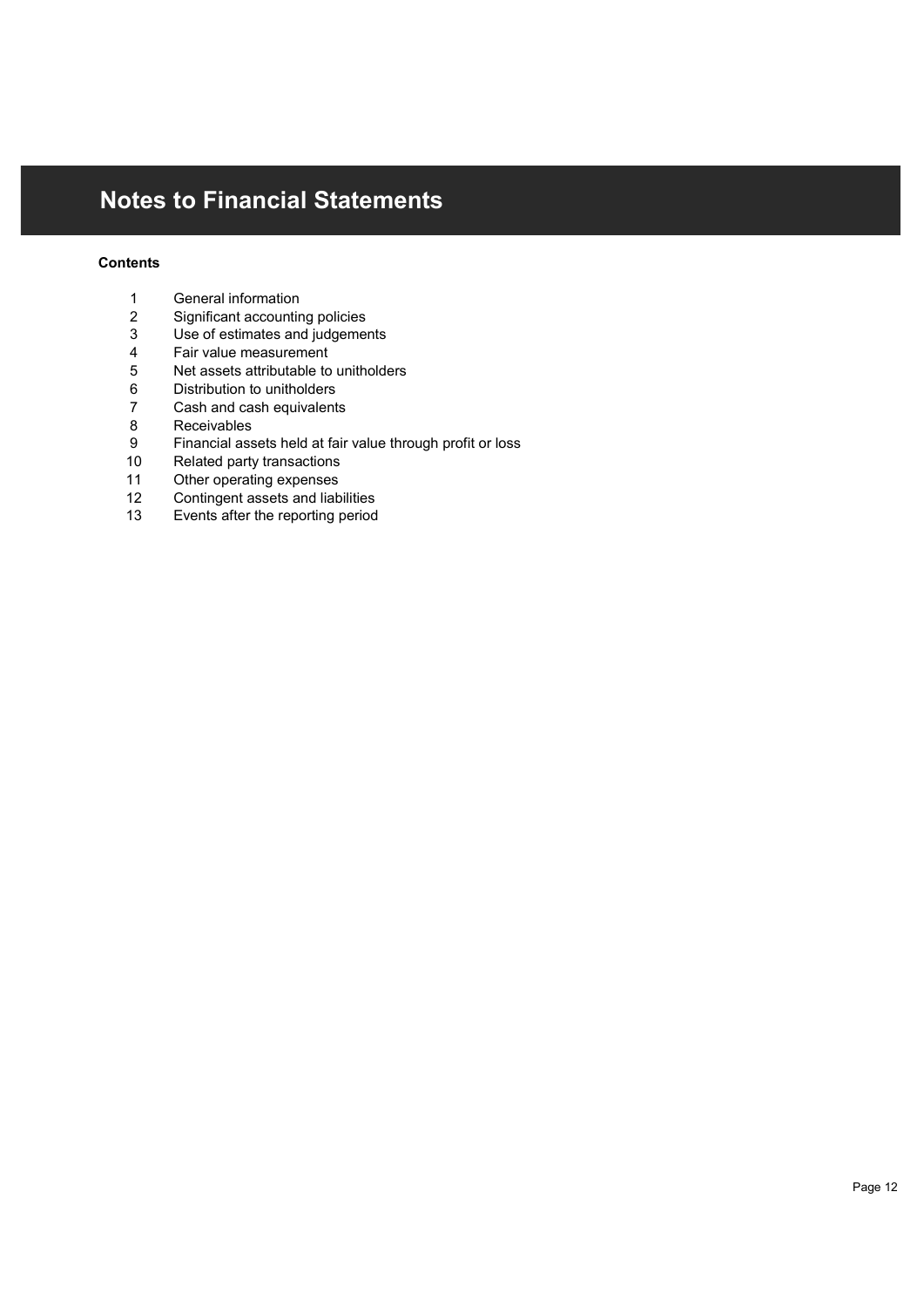# Notes to Financial Statements **tes to Financial Statements<br>
ents<br>
Ceneral information<br>
2 Significant accounting policies<br>
Use of estimates and judgements<br>
Fair value measurement<br>
5 Net assets attributable to unitholders<br>
0 Distribution to unitholders tes to Financial Statements**<br> **cental information**<br>
2 Significant accounting policies<br>
3 Use of estimates and judgements<br>
4 Fair value measurement<br>
5 Net assets attributable to unitholders<br>
2 Cash and cash equivalents<br>
7 **tes to Financial Statements**<br> **ents**<br> **Significant accounting policies**<br> **3** Use of estimates and judgements<br>
Fair value measurement<br> **Fair value measurement**<br> **5** Distribution to unitholders<br> **2** Cash and cash equivalent **tes to Financial Statements**<br> **eneral information**<br>
Significant accounting policies<br>
Use of estimates and judgements<br>
Fair value measurement<br>
Fair value measurement<br>
5 Net assets attributable to unitholders<br>
7 Cash and ca **fes to Financial Statements**<br> **sensus and Statements**<br> **Significant accounting policies**<br> **5** Use of estimates an judgements<br> **Fair value measurement**<br> **5** Net assets attributable to unitholders<br> **5** Distribution to unith **tes to Financial Statements**<br> **tes to Financial Statements**<br>
<sup>2</sup> Significant accounting policies<br>
<sup>3</sup> Use of estimates and judgements<br>
5 Net assets attributable to unitholders<br>
6 Distribution to unitholders<br>
<sup>7</sup> Cash and **tes to Financial Statements**<br> **endificated in Statements**<br>
Significant accounting policies<br>
Significant accounting policies<br>
Use of estimates and judgements<br>
Fair value measurement<br>
6 Distribution to unitholders<br>
7 Cash a **tes to Financial Statements**<br> **ents**<br> **control of the control of the control of the control of the control of the control of the control of the control of the control of the control of the control can cash and cash equiva fes to Financial Statements**<br>
9 General information<br>
9 Significant accounting policies<br>
9 Use of estimates and judgements<br>
4 Fair value measurement<br>
6 Distribution to unitholders<br>
8 Distribution to unitholders<br>
7 Cash and **Signal Statements**<br> **Signal Statements**<br> **Contain Statements**<br>
1 General information<br>
2 Significant accounting policies<br>
4 Fair value measurement<br>
4 Fair value measurement<br>
6 Distribution to unitholders<br>
6 Distribution to **State State Statements**<br> **Statements**<br> **Contain and Statements**<br>
1 General information<br>
2 Significant accounting policies<br>
3 Use of estimates and judgements<br>
5 Net assets attributable to unitholders<br>
2 Cash and cash equiv **Separate Schematical Statements**<br>
1 General information<br>
13 Significant accounting policies<br>
23 Use of estimates and judgements<br>
4 Fair value measurement<br>
6 Distribution to unitholders<br>
6 Distribution to unitholders<br>
2 Ca **Statements**<br> **Seneral information**<br>
2 Significant accounting policies<br>
13 Use of estimates and gludgements<br>
4 Fair value measurement<br>
5 Net assets attributable to unitholders<br>
6 Distribution to unitholders<br>
7 Cash and cas

### **Contents**

- 
- 
- 
- 
- 
- 
- 
- 
- 
- 
- 
- 
-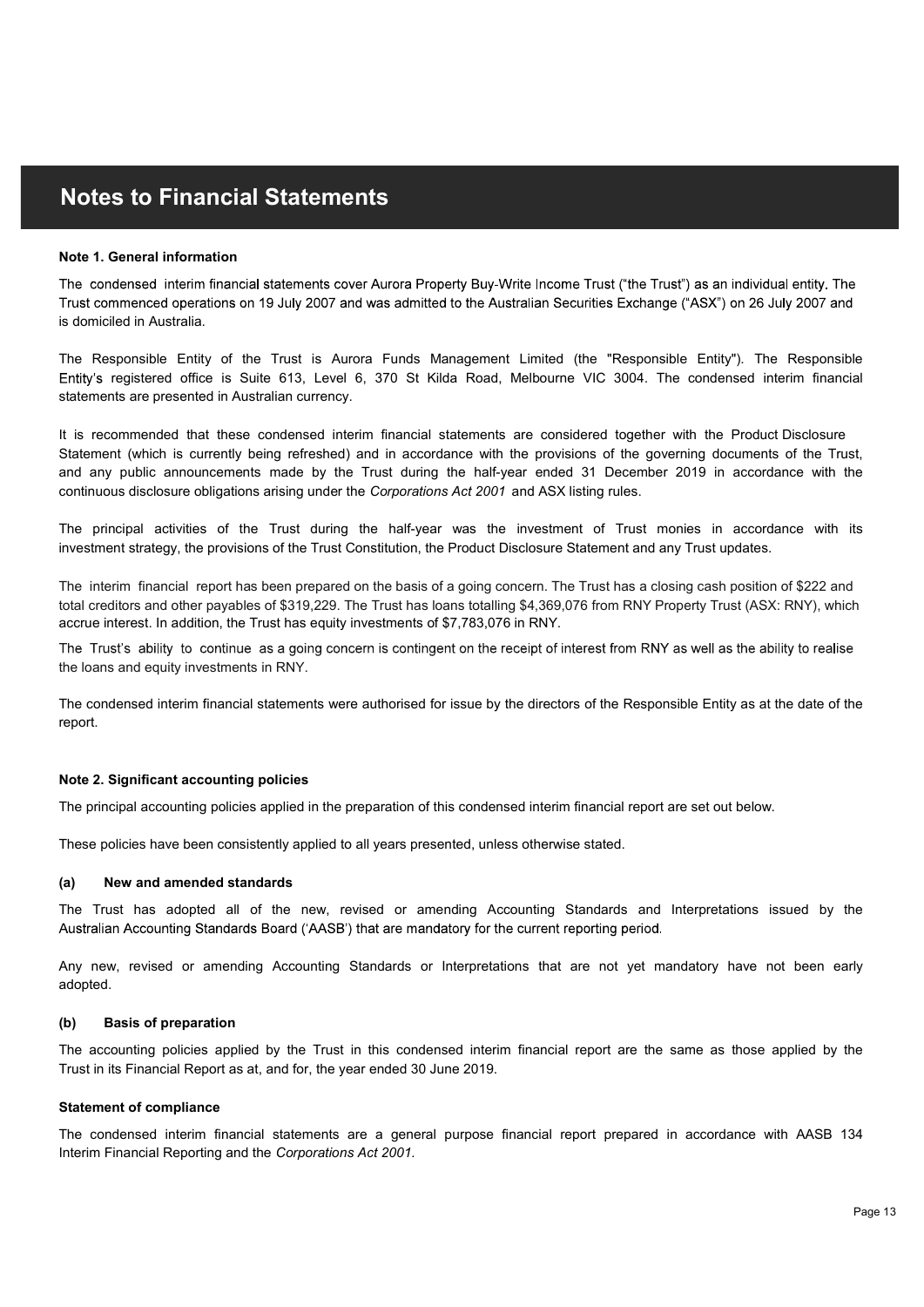#### Note 1. General information

is domiciled in Australia.

statements are presented in Australian currency. **Notes to Financial Statements**<br>The condensed interim financial statements cover Aurora Property Buy-Write Income Trust ("the Trust") as an individual entity. The<br>Trust commenced operations on 19 July 2007 and was admitted **S to Financial Statements**<br>Beneral information<br>densed interim francoial statements cover Aurora Property Buy-Write Income Trust ("the Trust") as an individual entity. The<br>Immerced operations on 19 July 2007 and was admitt

continuous disclosure obligations arising under the Corporations Act 2001 and ASX listing rules. It is recommended that these condensed interim financial statements are considered together with the Product Disclosure **Notes to Financial Statements**<br>
Note 1. General information<br>
The condensed interim financial statements cover Aurora Property Buy-Write Income Trust ("the Trust") as an individual entity. The<br>
Trust commenced operations o **Notes to Financial Statements**<br>
Note 1, General information<br>
The condensed interim financial statements over Aurora Property Buy-Write Income Trust ("the Trust") as an individual entity. The<br>
Trust commenced operations on **Notes to Financial Statements**<br>The condensed information<br>The condensed information<br>The condensed operations of 19 July 2007 and was admitted to the Australian Securities Exchange ("ASX") on 26 July 2007 and<br>Instanting the Trust commenced operations on 19 July 2007 and was admitted to the Australian Securities Exchange ("ASX") on 26 July 2007 and<br>The Responsible Entity of the Trust is Aurora Funds Management Limited (the "Responsible Entity"

investment strategy, the provisions of the Trust Constitution, the Product Disclosure Statement and any Trust updates.

The interim financial report has been prepared on the basis of a going concern. The Trust has a closing cash position of \$222 and total creditors and other payables of \$319,229. The Trust has loans totalling \$4,369,076 from RNY Property Trust (ASX: RNY), which accrue interest. In addition, the Trust has equity investments of \$7,783,076 in RNY. The interim financial report has been prepared on the basis of a going concern. The Trust has a dosing cash position of \$222 and total creditions and other payables of \$319,232. The Trust has beams to lating a 3,390,076 fr The principal activities of the Trust during the half-year was the investment of Trust monies in accordance with its<br>investment strategy, the provisions of the Trust Constitution, the Product Disclosure Statement and any T

the loans and equity investments in RNY.

report.

#### Note 2. Significant accounting policies

The principal accounting policies applied in the preparation of this condensed interim financial report are set out below.

These policies have been consistently applied to all years presented, unless otherwise stated.

#### (a) New and amended standards

adopted.

#### (b) Basis of preparation

Trust in its Financial Report as at, and for, the year ended 30 June 2019. The Trusts ability to continue as a going concern is contingent on the recept of interest from RNY as well as the ability to realise<br>The condensed interim financial statements were authorised for issue by the directors of

#### Statement of compliance

Interim Financial Reporting and the Corporations Act 2001. The principal accounting policies<br>The principal accounting policies applied in the preparation of this condensed interim financial report are set out below.<br>These policies have been consistently applied to all years presen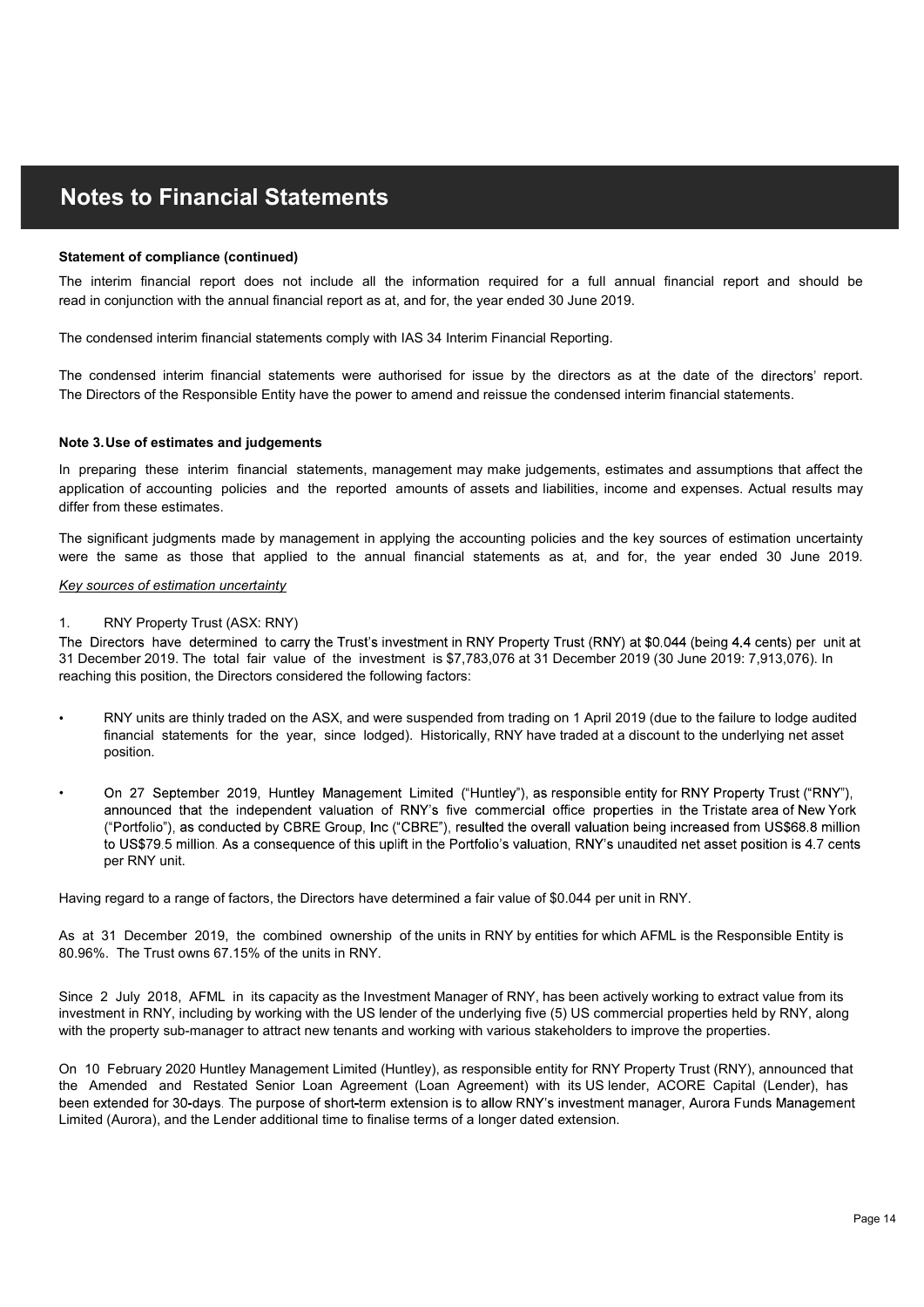#### Statement of compliance (continued)

read in conjunction with the annual financial report as at, and for, the year ended 30 June 2019. **Notes to Financial Statements**<br>The interim financial report does not include all the information required for a full annual financial report and should be<br>read in conjunction with the annual financial report as at, and fo **Notes to Financial Statements**<br>The interim financial report does not include all the information required for a full annual financial report and should be<br>The interim financial report does not include all the information

The condensed interim financial statements comply with IAS 34 Interim Financial Reporting.

The Directors of the Responsible Entity have the power to amend and reissue the condensed interim financial statements.

#### Note 3. Use of estimates and judgements

**Statement of compliance (continued)**<br>
The interim financial report does not include all the information required for a full<br>
read in conjunction with the annual financial report as at, and for, the year ended 30 June 20<br> differ from these estimates. **Notes to Financial Statements**<br>
Statement of complance (continued)<br>
The interim financial repart dense include all the information required for a full annual financial report and should be<br>
The condensed interim financial **Noties to Financial Statements**<br>The interim financial report does not include all the information required for a full amoual financial report and should be<br>The condensed interim financial statements comply with IAS 34 Int **Notes to Financial Statements**<br>
Statement of compliance (continued)<br>
The interim financial report does not include all the information required for a full amnual financial report and should be<br>
The condensed interim finan **Notes to Financial Statements**<br>Statement of compliance (continued)<br>The interim financial report does not include all the information required for a full annual financial report and should be<br>transit incompination with the

#### Key sources of estimation uncertainty

31 December 2019. The total fair value of the investment is \$7,783,076 at 31 December 2019 (30 June 2019: 7,913,076). In reaching this position, the Directors considered the following factors:

- RNY units are thinly traded on the ASX, and were suspended from trading on 1 April 2019 (due to the failure to lodge audited financial statements for the year, since lodged). Historically, RNY have traded at a discount to the underlying net asset position.
- On 27 September 2019. Huntley Management Limited ("Huntley"), as responsible entity for RNY Property Trust ("RNY"). announced that the independent valuation of RNY's five commercial office properties in the Tristate area of New York ("Portfolio"), as conducted by CBRE Group, Inc ("CBRE"), resulted the overall valuation being increased from US\$68.8 million to US\$79.5 million. As a consequence of this uplift in the Portfolio's valuation, RNY's unaudited net asset position is 4.7 cents per RNY unit.

Having regard to a range of factors, the Directors have determined a fair value of \$0.044 per unit in RNY.

As at 31 December 2019, the combined ownership of the units in RNY by entities for which AFML is the Responsible Entity is 80.96%. The Trust owns 67.15% of the units in RNY.

Since 2 July 2018, AFML in its capacity as the Investment Manager of RNY, has been actively working to extract value from its investment in RNY, including by working with the US lender of the underlying five (5) US commercial properties held by RNY, along with the property sub-manager to attract new tenants and working with various stakeholders to improve the properties.

On 10 February 2020 Huntley Management Limited (Huntley), as responsible entity for RNY Property Trust (RNY), announced that the Amended and Restated Senior Loan Agreement (Loan Agreement) with its US lender, ACORE Capital (Lender), has been extended for 30-days. The purpose of short-term extension is to allow RNY's investment manager, Aurora Funds Management Limited (Aurora), and the Lender additional time to finalise terms of a longer dated extension.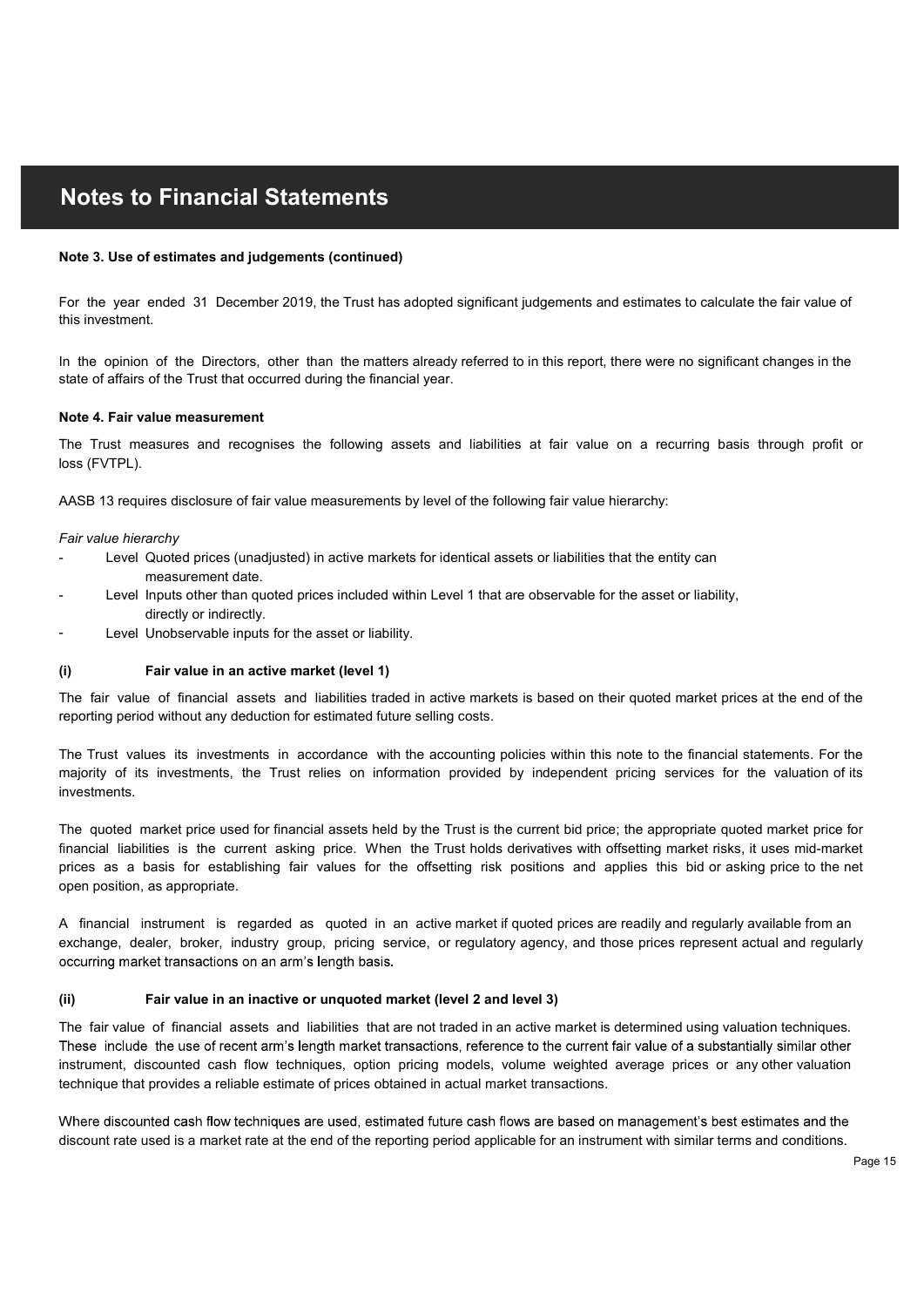#### Note 3. Use of estimates and judgements (continued)

For the year ended 31 December 2019, the Trust has adopted significant judgements and estimation is the Directors, of the than the matters already referred to in this report, there we state of affairs of the Trust that occ For the year ended 31 December 2019, the Trust has adopted significant judgements and estimates to calculate the fair value of this investment. **Notes to Financial Statements**<br>Note 3. Use of estimates and judgements (continued)<br>For the year ended 31 December 2019, the Trust has adopted significant judgements and estimates to calculate the fair value of<br>this invest

In the opinion of the Directors, other than the matters already referred to in this report, there were no significant changes in the state of affairs of the Trust that occurred during the financial year.

#### Note 4. Fair value measurement

loss (FVTPL).

AASB 13 requires disclosure of fair value measurements by level of the following fair value hierarchy:

#### Fair value hierarchy

- Level Quoted prices (unadjusted) in active markets for identical assets or liabilities that the entity can measurement date.
- Level Inputs other than quoted prices included within Level 1 that are observable for the asset or liability, directly or indirectly.
- Level Unobservable inputs for the asset or liability.

reporting period without any deduction for estimated future selling costs.

investments. state of affairs of the Trust that occurred during the financial year.<br>
Note 4. Fair value measurement<br>
The Trust rmassures and recognises the following assets and liabilities at fair value on a recurring basis through pro In the opinion of the Directors, other than the matters already referred to in this report, there were no significant changes in the<br>
Note A Fair value measurement to the Trust matic occurred during the financial year.<br>
Th For the year ended 31 December 2019, the Trust has adopted significant judgements and estimates to calculate the fair value of<br>this investment.<br>In the cylinion of the Directors, other than the matters already referred to i

Earter limate of the material quided process included within Level 1 that are observable for the asset or liability.<br>
(i) Fair value in an active market (level 1)<br>
The fair value of financial assets and liabilities traded open position, as appropriate. The Trust measures and recogniees the following assets and liabilities at fair value on a recurring basis through profit or<br>
Unions (FVTPL).<br>
AASB 13 requires disclosure of fair value measurements by level of the following The Trust measures and recogniese the following assets and liabilities at fair value on a recurring basis through profit or<br>Fair value hierarchy<br>AASB 13 requires disclosure of fair value measurements by level of the follow prices (FVTPL).<br>AASB 13 requires disclosure of fair value measurements by level of the following fair value hierarchy:<br>Fair walue hierarchy<br>- Level Quoted prices (unadjusted) in active markets for identical assets or liabi Far wave free activy content date.<br>
The seasurement date, then and the service of the season included within Level 1 that are observable for the asset or liability,<br>
Level those service for industry for the asset or liabil

A financial instrument is regarded as quoted in an active market if quoted prices are readily and regularly available from an

technique that provides a reliable estimate of prices obtained in actual market transactions. instrument, discounted cash flow techniques, option pricing models, volume weighted average prices or any other valuation The fair value of financial assets and liabilities that are not traded in an active market is determined using valuation techniques.

Where discounted cash flow techniques are used, estimated future cash flows are based on management's best estimates and the discount rate used is a market rate at the end of the reporting period applicable for an instrument with similar terms and conditions.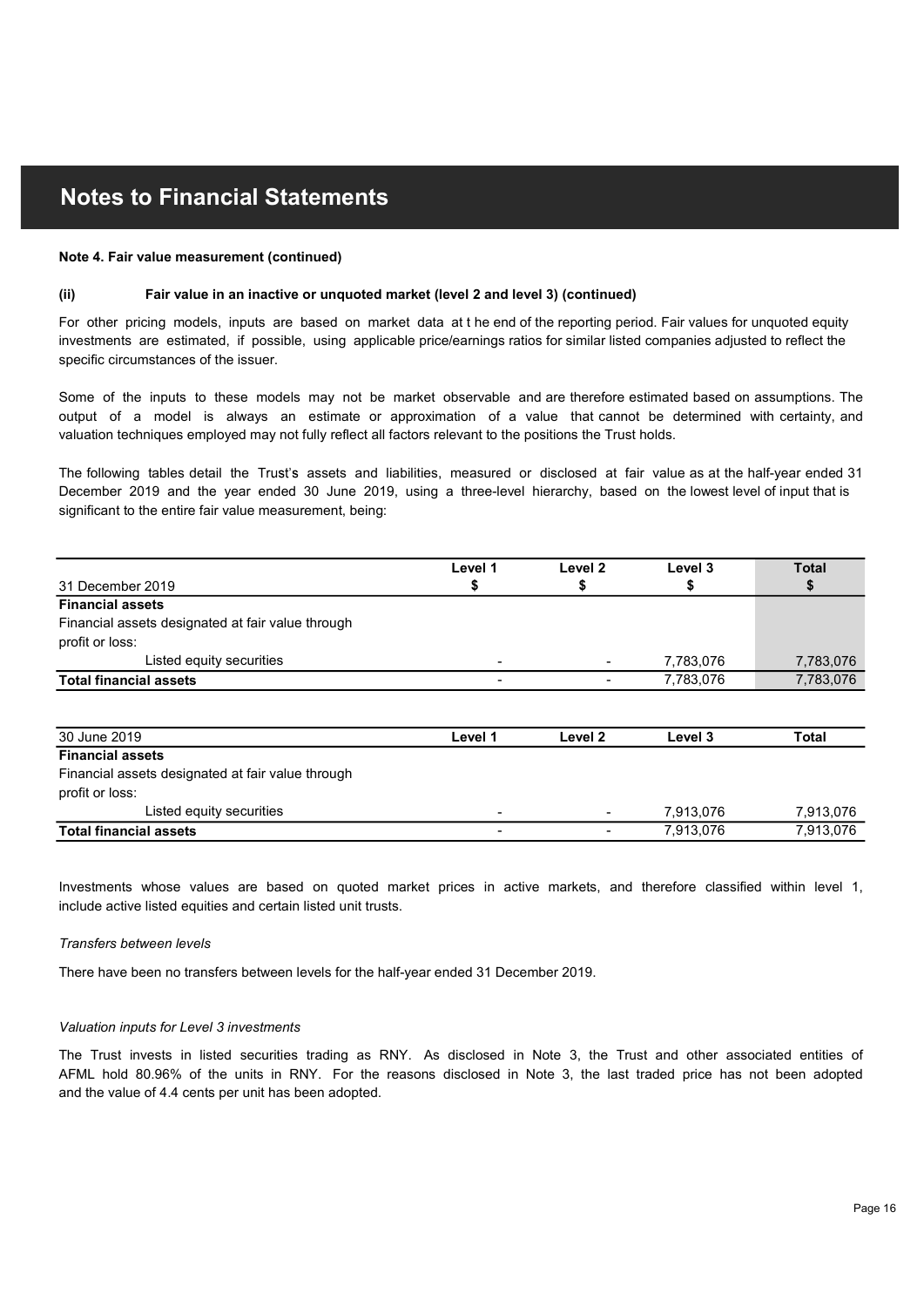#### Note 4. Fair value measurement (continued)

**Notes to Financial Statements**<br>
Note 4. Fair value measurement (continued)<br>
(ii) Fair value in an inactive or unquoted market (level 2 and level 3) (continued)<br>
For other pricing models, inputs are based on market data at investments are estimated, if possible, using applicable price/earnings ratios for similar listed companies adjusted to reflect the specific circumstances of the issuer. For other pricing models, inputs are based on market data at t he end of the reporting period. Fair values for unquoted equity

**Notes to Financial Statements**<br>
Wote 4, Fair value measurement (continued)<br>
(ii) Fair value in an inactive or unquoted market (level 2 and level 3) (continued)<br>
For other prioring models, inguis are based on market data a valuation techniques employed may not fully reflect all factors relevant to the positions the Trust holds. **Noties to Financial Statements**<br>
Note 4. Fair value measurement (continued)<br>
(ii)<br>
For other pricing models, inputs are based on market data at the end of the reporting period. Fair values for unquoted equity<br>
here the pr

**Notes to Financial Statements**<br>
Whete 4. Fair value measurement (continued)<br>
(ii) Fair value in an inactive or unquoted market (tevel 2 and level 3) (continued)<br>
For other pricing models, inputs are based on market data a significant to the entire fair value measurement, being: December 2019 and the year ended 30 June 2019, using a three-level hierarchy, based on the lowest level of input that is

| investments are estimated, if possible, using applicable price/earnings ratios for similar listed companies adjusted to reflect the<br>specific circumstances of the issuer.                                                                                                                                                                             |         |         |           |              |  |  |
|----------------------------------------------------------------------------------------------------------------------------------------------------------------------------------------------------------------------------------------------------------------------------------------------------------------------------------------------------------|---------|---------|-----------|--------------|--|--|
| Some of the inputs to these models may not be market observable and are therefore estimated based on assumptions. The<br>output of a model is always an estimate or approximation of a value that cannot be determined with certainty, and<br>valuation techniques employed may not fully reflect all factors relevant to the positions the Trust holds. |         |         |           |              |  |  |
| The following tables detail the Trust's assets and liabilities, measured or disclosed at fair value as at the half-year ended 31<br>December 2019 and the year ended 30 June 2019, using a three-level hierarchy, based on the lowest level of input that is<br>significant to the entire fair value measurement, being:                                 |         |         |           |              |  |  |
|                                                                                                                                                                                                                                                                                                                                                          | Level 1 | Level 2 | Level 3   | <b>Total</b> |  |  |
| 31 December 2019                                                                                                                                                                                                                                                                                                                                         | \$      | \$      | \$        | S            |  |  |
| <b>Financial assets</b><br>Financial assets designated at fair value through<br>profit or loss:                                                                                                                                                                                                                                                          |         |         |           |              |  |  |
| Listed equity securities                                                                                                                                                                                                                                                                                                                                 |         |         | 7,783,076 | 7,783,076    |  |  |
| <b>Total financial assets</b>                                                                                                                                                                                                                                                                                                                            |         |         | 7,783,076 | 7,783,076    |  |  |
|                                                                                                                                                                                                                                                                                                                                                          |         |         |           |              |  |  |
| 30 June 2019                                                                                                                                                                                                                                                                                                                                             | Level 1 | Level 2 | Level 3   | <b>Total</b> |  |  |
| <b>Financial assets</b>                                                                                                                                                                                                                                                                                                                                  |         |         |           |              |  |  |
| Financial assets designated at fair value through                                                                                                                                                                                                                                                                                                        |         |         |           |              |  |  |
| profit or loss:                                                                                                                                                                                                                                                                                                                                          |         |         |           |              |  |  |
| Listed equity securities                                                                                                                                                                                                                                                                                                                                 |         |         | 7,913,076 | 7,913,076    |  |  |
| <b>Total financial assets</b>                                                                                                                                                                                                                                                                                                                            |         |         | 7,913,076 | 7,913,076    |  |  |
| Investments whose values are based on quoted market prices in active markets, and therefore classified within level 1,<br>include active listed equities and certain listed unit trusts.                                                                                                                                                                 |         |         |           |              |  |  |
| Transfers between levels                                                                                                                                                                                                                                                                                                                                 |         |         |           |              |  |  |
| There have been no transfers between levels for the half-year ended 31 December 2019.                                                                                                                                                                                                                                                                    |         |         |           |              |  |  |
| Valuation inputs for Level 3 investments                                                                                                                                                                                                                                                                                                                 |         |         |           |              |  |  |
| The Trust invests in listed securities trading as RNY. As disclosed in Note 3, the Trust and other associated entities of<br>AFML hold 80.96% of the units in RNY. For the reasons disclosed in Note 3, the last traded price has not been adopted<br>and the value of 4.4 cents per unit has been adopted.                                              |         |         |           |              |  |  |
|                                                                                                                                                                                                                                                                                                                                                          |         |         |           |              |  |  |

| <b>Total financial assets</b>                                                                                                                                                                                                                                                                               |                          |                          | 7,783,076 | 7,783,076    |
|-------------------------------------------------------------------------------------------------------------------------------------------------------------------------------------------------------------------------------------------------------------------------------------------------------------|--------------------------|--------------------------|-----------|--------------|
|                                                                                                                                                                                                                                                                                                             |                          |                          |           |              |
| 30 June 2019                                                                                                                                                                                                                                                                                                | Level 1                  | Level 2                  | Level 3   | <b>Total</b> |
| <b>Financial assets</b>                                                                                                                                                                                                                                                                                     |                          |                          |           |              |
| Financial assets designated at fair value through                                                                                                                                                                                                                                                           |                          |                          |           |              |
| profit or loss:                                                                                                                                                                                                                                                                                             |                          |                          |           |              |
| Listed equity securities                                                                                                                                                                                                                                                                                    | $\blacksquare$           | $\overline{\phantom{a}}$ | 7,913,076 | 7,913,076    |
| <b>Total financial assets</b>                                                                                                                                                                                                                                                                               | $\overline{\phantom{a}}$ | $\overline{\phantom{0}}$ | 7,913,076 | 7,913,076    |
| Transfers between levels<br>There have been no transfers between levels for the half-year ended 31 December 2019.                                                                                                                                                                                           |                          |                          |           |              |
| Valuation inputs for Level 3 investments                                                                                                                                                                                                                                                                    |                          |                          |           |              |
| The Trust invests in listed securities trading as RNY. As disclosed in Note 3, the Trust and other associated entities of<br>AFML hold 80.96% of the units in RNY. For the reasons disclosed in Note 3, the last traded price has not been adopted<br>and the value of 4.4 cents per unit has been adopted. |                          |                          |           |              |
|                                                                                                                                                                                                                                                                                                             |                          |                          |           |              |

#### Transfers between levels

#### Valuation inputs for Level 3 investments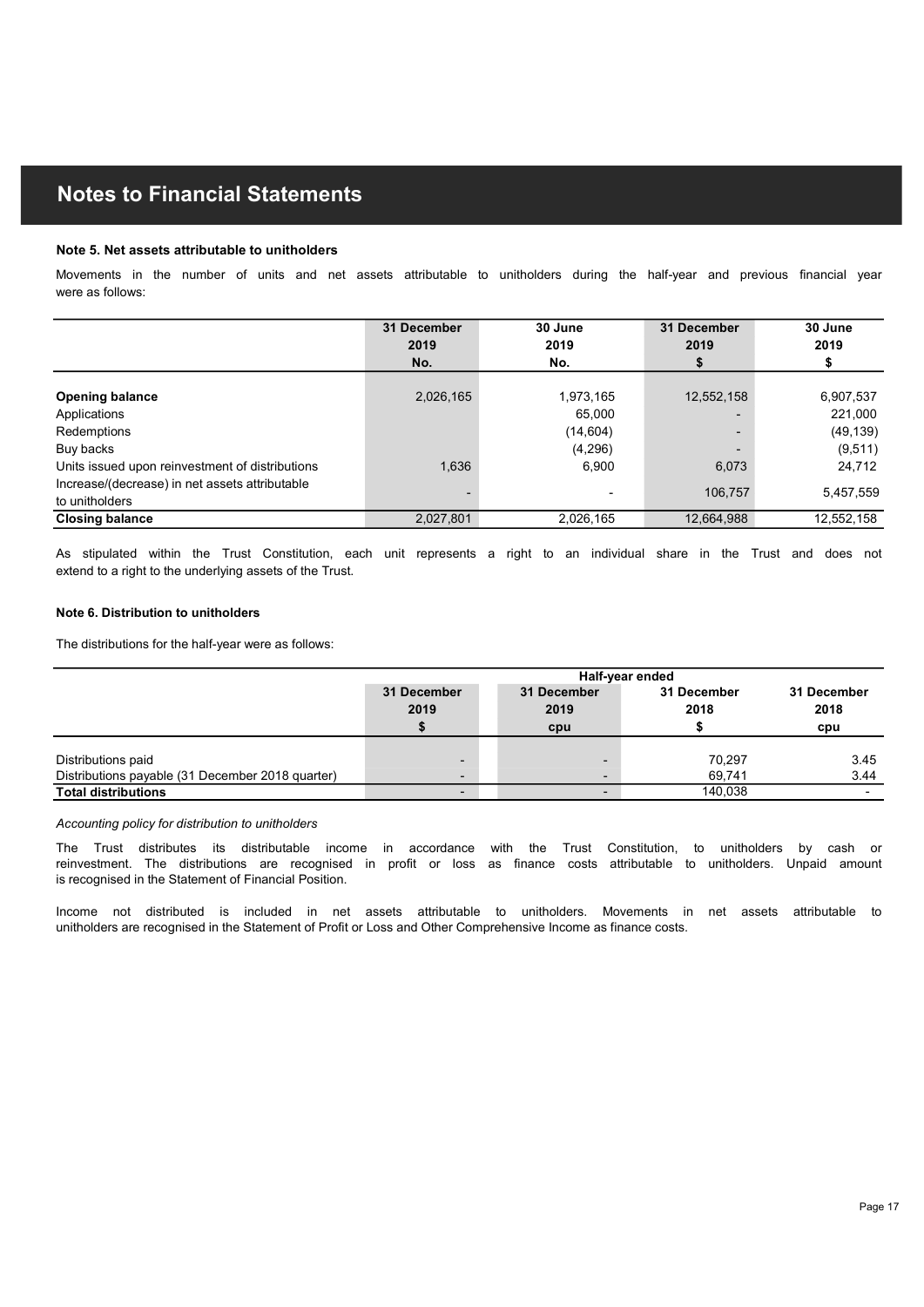#### Note 5. Net assets attributable to unitholders

| <b>Notes to Financial Statements</b>                                                                                                                                                                                                                                                                                                                                                       |                          |                                |             |             |
|--------------------------------------------------------------------------------------------------------------------------------------------------------------------------------------------------------------------------------------------------------------------------------------------------------------------------------------------------------------------------------------------|--------------------------|--------------------------------|-------------|-------------|
|                                                                                                                                                                                                                                                                                                                                                                                            |                          |                                |             |             |
|                                                                                                                                                                                                                                                                                                                                                                                            |                          |                                |             |             |
| Note 5. Net assets attributable to unitholders                                                                                                                                                                                                                                                                                                                                             |                          |                                |             |             |
| Movements in the number of units and net assets attributable to unitholders during the half-year and previous financial year                                                                                                                                                                                                                                                               |                          |                                |             |             |
| were as follows:                                                                                                                                                                                                                                                                                                                                                                           |                          |                                |             |             |
|                                                                                                                                                                                                                                                                                                                                                                                            |                          |                                |             |             |
|                                                                                                                                                                                                                                                                                                                                                                                            | 31 December              | 30 June                        | 31 December | 30 June     |
|                                                                                                                                                                                                                                                                                                                                                                                            | 2019                     | 2019                           | 2019        | 2019        |
|                                                                                                                                                                                                                                                                                                                                                                                            | No.                      | No.                            | \$          | \$          |
| <b>Opening balance</b>                                                                                                                                                                                                                                                                                                                                                                     | 2,026,165                | 1,973,165                      | 12,552,158  | 6,907,537   |
| Applications                                                                                                                                                                                                                                                                                                                                                                               |                          | 65,000                         |             | 221,000     |
| Redemptions                                                                                                                                                                                                                                                                                                                                                                                |                          | (14, 604)                      |             | (49, 139)   |
| Buy backs                                                                                                                                                                                                                                                                                                                                                                                  |                          | (4, 296)                       |             | (9,511)     |
| Units issued upon reinvestment of distributions                                                                                                                                                                                                                                                                                                                                            | 1,636                    | 6,900                          | 6,073       | 24,712      |
| Increase/(decrease) in net assets attributable                                                                                                                                                                                                                                                                                                                                             |                          |                                | 106,757     | 5,457,559   |
| to unitholders                                                                                                                                                                                                                                                                                                                                                                             |                          |                                |             |             |
| <b>Closing balance</b>                                                                                                                                                                                                                                                                                                                                                                     | 2,027,801                | 2,026,165                      | 12,664,988  | 12,552,158  |
| As stipulated within the Trust Constitution, each unit represents a right to an individual share in the Trust and does not                                                                                                                                                                                                                                                                 |                          |                                |             |             |
| extend to a right to the underlying assets of the Trust.                                                                                                                                                                                                                                                                                                                                   |                          |                                |             |             |
|                                                                                                                                                                                                                                                                                                                                                                                            |                          |                                |             |             |
| Note 6. Distribution to unitholders                                                                                                                                                                                                                                                                                                                                                        |                          |                                |             |             |
|                                                                                                                                                                                                                                                                                                                                                                                            |                          |                                |             |             |
| The distributions for the half-year were as follows:                                                                                                                                                                                                                                                                                                                                       |                          |                                |             |             |
|                                                                                                                                                                                                                                                                                                                                                                                            |                          |                                |             |             |
|                                                                                                                                                                                                                                                                                                                                                                                            | 31 December              | Half-year ended<br>31 December | 31 December | 31 December |
|                                                                                                                                                                                                                                                                                                                                                                                            | 2019                     | 2019                           | 2018        | 2018        |
|                                                                                                                                                                                                                                                                                                                                                                                            | \$                       | cpu                            | \$          | cpu         |
|                                                                                                                                                                                                                                                                                                                                                                                            |                          |                                |             |             |
| Distributions paid                                                                                                                                                                                                                                                                                                                                                                         |                          | $\overline{\phantom{a}}$       | 70,297      | 3.45        |
|                                                                                                                                                                                                                                                                                                                                                                                            | $\overline{\phantom{0}}$ | $\sim$                         | 69,741      | 3.44        |
|                                                                                                                                                                                                                                                                                                                                                                                            |                          |                                |             |             |
|                                                                                                                                                                                                                                                                                                                                                                                            | $\overline{\phantom{0}}$ | $\blacksquare$                 | 140,038     | $\sim$      |
|                                                                                                                                                                                                                                                                                                                                                                                            |                          |                                |             |             |
|                                                                                                                                                                                                                                                                                                                                                                                            |                          |                                |             |             |
| Distributions payable (31 December 2018 quarter)<br><b>Total distributions</b><br>Accounting policy for distribution to unitholders<br>The Trust distributes its distributable income in accordance with the Trust Constitution, to unitholders by cash or<br>reinvestment. The distributions are recognised in profit or loss as finance costs attributable to unitholders. Unpaid amount |                          |                                |             |             |

#### Note 6. Distribution to unitholders

| Buy backs                                                                                                                                                                                                                                  |                        | (4, 296)            |                     | (9, 511)                  |
|--------------------------------------------------------------------------------------------------------------------------------------------------------------------------------------------------------------------------------------------|------------------------|---------------------|---------------------|---------------------------|
| Units issued upon reinvestment of distributions                                                                                                                                                                                            | 1,636                  | 6,900               | 6,073               | 24,712                    |
| Increase/(decrease) in net assets attributable                                                                                                                                                                                             |                        | $\blacksquare$      | 106,757             | 5,457,559                 |
| to unitholders                                                                                                                                                                                                                             |                        |                     |                     |                           |
| <b>Closing balance</b>                                                                                                                                                                                                                     | 2,027,801              | 2,026,165           | 12,664,988          | 12,552,158                |
| As stipulated within the Trust Constitution, each unit represents a right to an individual share in the Trust and does not<br>extend to a right to the underlying assets of the Trust.                                                     |                        |                     |                     |                           |
| Note 6. Distribution to unitholders                                                                                                                                                                                                        |                        |                     |                     |                           |
| The distributions for the half-year were as follows:                                                                                                                                                                                       |                        |                     |                     |                           |
|                                                                                                                                                                                                                                            |                        | Half-year ended     |                     |                           |
|                                                                                                                                                                                                                                            | 31 December<br>2019    | 31 December<br>2019 | 31 December<br>2018 | 31 December<br>2018       |
|                                                                                                                                                                                                                                            |                        | cpu                 | \$                  | cpu                       |
|                                                                                                                                                                                                                                            |                        |                     |                     | 3.45                      |
| Distributions paid<br>Distributions payable (31 December 2018 quarter)                                                                                                                                                                     |                        | ٠<br>٠              | 70,297<br>69,741    | 3.44                      |
| <b>Total distributions</b>                                                                                                                                                                                                                 |                        |                     | 140,038             |                           |
| Accounting policy for distribution to unitholders                                                                                                                                                                                          |                        |                     |                     |                           |
| distributes its distributable income<br>The Trust<br>reinvestment. The distributions are recognised in profit or loss as finance costs attributable to unitholders. Unpaid amount<br>is recognised in the Statement of Financial Position. | in accordance with the | Trust Constitution, |                     | to unitholders by cash or |
|                                                                                                                                                                                                                                            |                        |                     |                     |                           |

#### Accounting policy for distribution to unitholders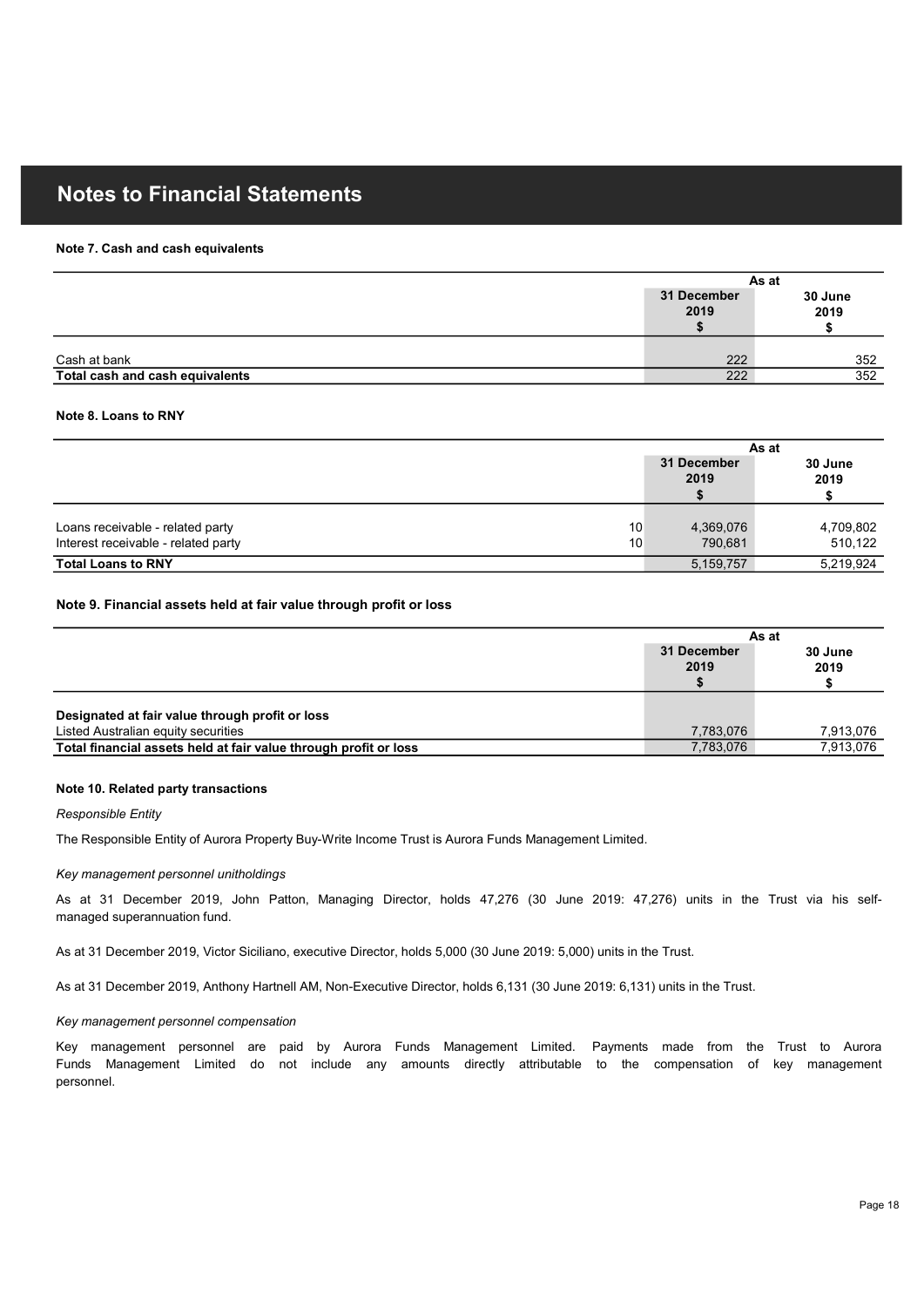#### Note 7. Cash and cash equivalents

| <b>Notes to Financial Statements</b>            |                                                    |                 |
|-------------------------------------------------|----------------------------------------------------|-----------------|
|                                                 |                                                    |                 |
|                                                 |                                                    |                 |
|                                                 |                                                    |                 |
| Note 7. Cash and cash equivalents               |                                                    |                 |
|                                                 | As at                                              |                 |
|                                                 | 31 December<br>2019                                | 30 June<br>2019 |
|                                                 | S.                                                 | \$              |
|                                                 |                                                    |                 |
| Cash at bank<br>Total cash and cash equivalents | 222<br>222                                         | 352<br>352      |
|                                                 |                                                    |                 |
| Note 8. Loans to RNY                            |                                                    |                 |
|                                                 | As at<br>$\sim$ $\sim$ $\sim$ $\sim$ $\sim$ $\sim$ |                 |

#### Note 8. Loans to RNY

| <b>Notes to Financial Statements</b>                                                   |                           |                       |
|----------------------------------------------------------------------------------------|---------------------------|-----------------------|
| Note 7. Cash and cash equivalents                                                      |                           |                       |
|                                                                                        | As at                     |                       |
|                                                                                        | 31 December<br>2019<br>Ŝ. | 30 June<br>2019<br>\$ |
| Cash at bank                                                                           | 222                       | 352                   |
| Total cash and cash equivalents                                                        | 222                       | 352                   |
| Note 8. Loans to RNY                                                                   | As at<br>31 December      | 30 June               |
|                                                                                        | 2019<br>\$                | 2019<br>\$            |
| Loans receivable - related party<br>10<br>Interest receivable - related party<br>10    | 4,369,076<br>790,681      | 4,709,802<br>510,122  |
| <b>Total Loans to RNY</b>                                                              | 5, 159, 757               | 5,219,924             |
| Note 9. Financial assets held at fair value through profit or loss                     | As at                     |                       |
|                                                                                        | 31 December<br>2019<br>\$ | 30 June<br>2019<br>\$ |
| Designated at fair value through profit or loss<br>Listed Australian equity securities | 7,783,076                 | 7,913,076             |
| Total financial assets held at fair value through profit or loss                       | 7,783,076                 | 7,913,076             |
| Note 10. Related party transactions<br>Responsible Entity                              |                           |                       |

| 4,369,076<br>10<br>10<br>790,681<br>5, 159, 757<br>As at<br>31 December | 4,709,802<br>510,122<br>5,219,924                                                                                                                                                                                                                                                                                                                                                                                                                                                                                                                                                                                                                                                                                                                      |
|-------------------------------------------------------------------------|--------------------------------------------------------------------------------------------------------------------------------------------------------------------------------------------------------------------------------------------------------------------------------------------------------------------------------------------------------------------------------------------------------------------------------------------------------------------------------------------------------------------------------------------------------------------------------------------------------------------------------------------------------------------------------------------------------------------------------------------------------|
|                                                                         |                                                                                                                                                                                                                                                                                                                                                                                                                                                                                                                                                                                                                                                                                                                                                        |
|                                                                         |                                                                                                                                                                                                                                                                                                                                                                                                                                                                                                                                                                                                                                                                                                                                                        |
|                                                                         |                                                                                                                                                                                                                                                                                                                                                                                                                                                                                                                                                                                                                                                                                                                                                        |
|                                                                         |                                                                                                                                                                                                                                                                                                                                                                                                                                                                                                                                                                                                                                                                                                                                                        |
|                                                                         |                                                                                                                                                                                                                                                                                                                                                                                                                                                                                                                                                                                                                                                                                                                                                        |
|                                                                         |                                                                                                                                                                                                                                                                                                                                                                                                                                                                                                                                                                                                                                                                                                                                                        |
|                                                                         | 30 June                                                                                                                                                                                                                                                                                                                                                                                                                                                                                                                                                                                                                                                                                                                                                |
| 2019<br>\$                                                              | 2019<br>\$                                                                                                                                                                                                                                                                                                                                                                                                                                                                                                                                                                                                                                                                                                                                             |
|                                                                         |                                                                                                                                                                                                                                                                                                                                                                                                                                                                                                                                                                                                                                                                                                                                                        |
|                                                                         |                                                                                                                                                                                                                                                                                                                                                                                                                                                                                                                                                                                                                                                                                                                                                        |
|                                                                         | 7,913,076                                                                                                                                                                                                                                                                                                                                                                                                                                                                                                                                                                                                                                                                                                                                              |
|                                                                         | 7,913,076                                                                                                                                                                                                                                                                                                                                                                                                                                                                                                                                                                                                                                                                                                                                              |
|                                                                         |                                                                                                                                                                                                                                                                                                                                                                                                                                                                                                                                                                                                                                                                                                                                                        |
|                                                                         |                                                                                                                                                                                                                                                                                                                                                                                                                                                                                                                                                                                                                                                                                                                                                        |
|                                                                         |                                                                                                                                                                                                                                                                                                                                                                                                                                                                                                                                                                                                                                                                                                                                                        |
|                                                                         |                                                                                                                                                                                                                                                                                                                                                                                                                                                                                                                                                                                                                                                                                                                                                        |
|                                                                         |                                                                                                                                                                                                                                                                                                                                                                                                                                                                                                                                                                                                                                                                                                                                                        |
|                                                                         | 7,783,076<br>7,783,076<br>The Responsible Entity of Aurora Property Buy-Write Income Trust is Aurora Funds Management Limited.<br>As at 31 December 2019, John Patton, Managing Director, holds 47,276 (30 June 2019: 47,276) units in the Trust via his self-<br>As at 31 December 2019, Victor Siciliano, executive Director, holds 5,000 (30 June 2019: 5,000) units in the Trust.<br>As at 31 December 2019, Anthony Hartnell AM, Non-Executive Director, holds 6,131 (30 June 2019: 6,131) units in the Trust.<br>Key management personnel are paid by Aurora Funds Management Limited. Payments made from the Trust to Aurora<br>Funds Management Limited do not include any amounts directly attributable to the compensation of key management |

#### Note 10. Related party transactions

#### Responsible Entity

#### Key management personnel unitholdings

#### Key management personnel compensation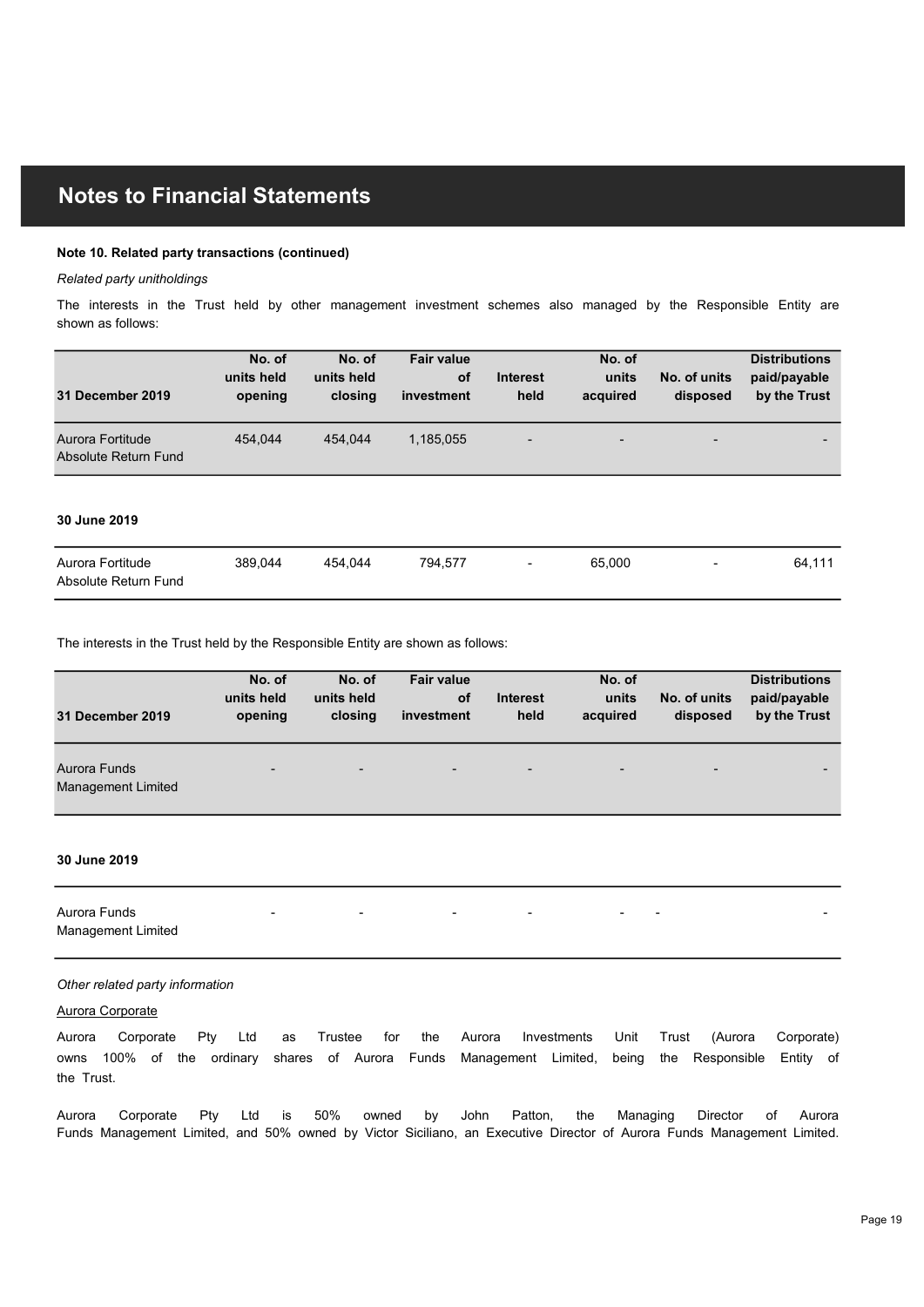#### Note 10. Related party transactions (continued)

#### Related party unitholdings

| <b>Notes to Financial Statements</b>                                                                              |                       |                       |                   |                         |                   |                          |                              |
|-------------------------------------------------------------------------------------------------------------------|-----------------------|-----------------------|-------------------|-------------------------|-------------------|--------------------------|------------------------------|
|                                                                                                                   |                       |                       |                   |                         |                   |                          |                              |
| Note 10. Related party transactions (continued)                                                                   |                       |                       |                   |                         |                   |                          |                              |
| Related party unitholdings                                                                                        |                       |                       |                   |                         |                   |                          |                              |
| The interests in the Trust held by other management investment schemes also managed by the Responsible Entity are |                       |                       |                   |                         |                   |                          |                              |
| shown as follows:                                                                                                 |                       |                       |                   |                         |                   |                          |                              |
|                                                                                                                   | No. of                | No. of                | <b>Fair value</b> |                         | No. of            |                          | <b>Distributions</b>         |
| 31 December 2019                                                                                                  | units held<br>opening | units held<br>closing | of<br>investment  | <b>Interest</b><br>held | units<br>acquired | No. of units<br>disposed | paid/payable<br>by the Trust |
|                                                                                                                   |                       |                       |                   |                         |                   |                          |                              |
| Aurora Fortitude                                                                                                  | 454,044               | 454,044               | 1,185,055         |                         |                   |                          |                              |
| Absolute Return Fund                                                                                              |                       |                       |                   |                         |                   |                          |                              |
|                                                                                                                   |                       |                       |                   |                         |                   |                          |                              |
| 30 June 2019                                                                                                      |                       |                       |                   |                         |                   |                          |                              |
| Aurora Fortitude                                                                                                  | 389,044               | 454,044               | 794,577           |                         | 65,000            | $\overline{\phantom{a}}$ | 64,111                       |
| Absolute Return Fund                                                                                              |                       |                       |                   |                         |                   |                          |                              |
|                                                                                                                   |                       |                       |                   |                         |                   |                          |                              |
|                                                                                                                   |                       |                       |                   |                         |                   |                          |                              |
| The interests in the Trust held by the Responsible Entity are shown as follows:                                   |                       |                       | <b>Fair value</b> |                         | No. of            |                          | <b>Distributions</b>         |
|                                                                                                                   | No. of                | No. of                |                   |                         |                   |                          |                              |
|                                                                                                                   | units held            | units held            | o <sub>f</sub>    | Interest                | units             | No. of units             | paid/payable                 |
| 31 December 2019                                                                                                  | opening               | closing               | investment        | held                    | acquired          | disposed                 | by the Trust                 |
| Aurora Funds                                                                                                      |                       |                       |                   |                         |                   |                          |                              |

#### 30 June 2019

| Aurora Fortitude     | 389.044 | 454.044 | 794.577 | $\sim$ | 65,000 | $\sim$ | 64.111 |
|----------------------|---------|---------|---------|--------|--------|--------|--------|
| Absolute Return Fund |         |         |         |        |        |        |        |

| 31 December 2019                                                                                                                                                                                                                                                                                                                                                                                          | No. of<br>units held<br>opening   | No. of<br>units held<br>closing | <b>Fair value</b><br>of<br>investment | <b>Interest</b><br>held  | No. of<br>units<br>acquired | No. of units<br>disposed | <b>Distributions</b><br>paid/payable<br>by the Trust |
|-----------------------------------------------------------------------------------------------------------------------------------------------------------------------------------------------------------------------------------------------------------------------------------------------------------------------------------------------------------------------------------------------------------|-----------------------------------|---------------------------------|---------------------------------------|--------------------------|-----------------------------|--------------------------|------------------------------------------------------|
| Aurora Fortitude<br>Absolute Return Fund                                                                                                                                                                                                                                                                                                                                                                  | 454,044                           | 454,044                         | 1,185,055                             |                          |                             |                          |                                                      |
| 30 June 2019                                                                                                                                                                                                                                                                                                                                                                                              |                                   |                                 |                                       |                          |                             |                          |                                                      |
| Aurora Fortitude<br>Absolute Return Fund                                                                                                                                                                                                                                                                                                                                                                  | 389,044                           | 454,044                         | 794,577                               | $\overline{\phantom{0}}$ | 65,000                      |                          | 64,111                                               |
| The interests in the Trust held by the Responsible Entity are shown as follows:                                                                                                                                                                                                                                                                                                                           |                                   |                                 |                                       |                          |                             |                          |                                                      |
| 31 December 2019                                                                                                                                                                                                                                                                                                                                                                                          | No. of<br>units held<br>opening   | No. of<br>units held<br>closing | <b>Fair value</b><br>of<br>investment | <b>Interest</b><br>held  | No. of<br>units<br>acquired | No. of units<br>disposed | <b>Distributions</b><br>paid/payable<br>by the Trust |
| <b>Aurora Funds</b><br>Management Limited                                                                                                                                                                                                                                                                                                                                                                 |                                   |                                 |                                       |                          |                             |                          |                                                      |
| 30 June 2019                                                                                                                                                                                                                                                                                                                                                                                              |                                   |                                 |                                       |                          |                             |                          |                                                      |
| Aurora Funds<br>Management Limited                                                                                                                                                                                                                                                                                                                                                                        |                                   |                                 |                                       |                          |                             |                          |                                                      |
| Other related party information<br>Aurora Corporate<br>Aurora Corporate<br>owns 100% of the ordinary shares of Aurora Funds Management Limited, being the Responsible Entity of<br>the Trust.<br>Aurora Corporate Pty Ltd is 50% owned by John Patton, the Managing Director of<br>Funds Management Limited, and 50% owned by Victor Siciliano, an Executive Director of Aurora Funds Management Limited. | Pty Ltd as Trustee for the Aurora |                                 |                                       | Investments              |                             |                          | Unit Trust (Aurora Corporate)<br>Aurora              |
|                                                                                                                                                                                                                                                                                                                                                                                                           |                                   |                                 |                                       |                          |                             |                          |                                                      |

#### 30 June 2019

#### Other related party information

#### Aurora Corporate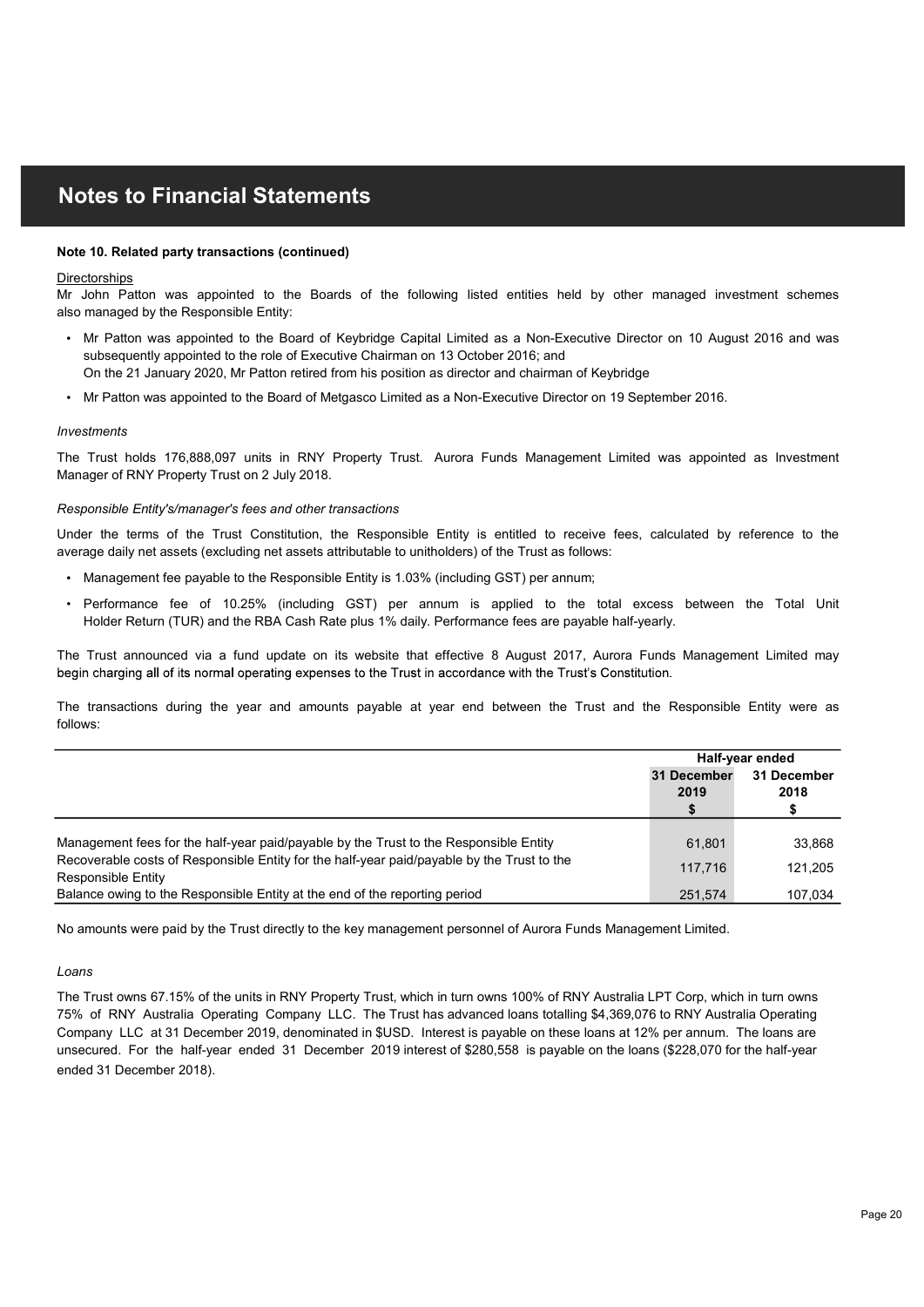#### Note 10. Related party transactions (continued)

#### **Directorships**

also managed by the Responsible Entity:

- **Notes to Financial Statements**<br>
Note 10. Related party transactions (continued)<br>
Universignitings<br>
We will be the terms appointed to the Board of Keybridge Capital Limited as a Non-Executive Director on 10 August 2016 and 1(ESS TO FITRENTIGRENT STATIONITIETTS<br>
The Related party transactions (continued)<br>
Scholar Performance for the Search of the following listed entities held by other managed investment schemes<br>
Mr Patho was appointed to the Note on Real may transactions (continued)<br>
More O. Real Mon-Baton was appointed to the Boards of the following listed entities held by other managed investment schemes<br>
Microbiotics were appointed to the Beard of Keybridge **Notes to Financial Statements**<br>Directorships<br>Olived 10. Related party transactions (continued)<br>Mr John Patton was appointed to the Boards of the following listed entities held by other managed investment schemes<br>Also mana **Mess to Financial Statements**<br>10. Related party transactions (continued)<br>John Patton was appointed to the Board of Keybridge Capital Limited as a Non-Executive Director on 10 August 2016 and was<br>Imanaged by the Responsibl **Notes to Financial Statements**<br>Directorships<br>Characteristics appointed to the Boards of the following listed entities hold by other managed investment schemes<br>the Trust holds are appointed to the Board of Keybridge Chail subsequently appointed to the role of Executive Chairman on 13 October 2016; and On the 21 January 2020, Mr Patton retired from his position as director and chairman of Keybridge
- Mr Patton was appointed to the Board of Metgasco Limited as a Non-Executive Director on 19 September 2016.

#### Investments

#### Responsible Entity's/manager's fees and other transactions

- Management fee payable to the Responsible Entity is 1.03% (including GST) per annum;
- Holder Return (TUR) and the RBA Cash Rate plus 1% daily. Performance fees are payable half-yearly.

| also managed by the Responsible Entity:                                                                                                                                                                                                                                                                            |                     |                           |
|--------------------------------------------------------------------------------------------------------------------------------------------------------------------------------------------------------------------------------------------------------------------------------------------------------------------|---------------------|---------------------------|
| • Mr Patton was appointed to the Board of Keybridge Capital Limited as a Non-Executive Director on 10 August 2016 and was<br>subsequently appointed to the role of Executive Chairman on 13 October 2016; and<br>On the 21 January 2020, Mr Patton retired from his position as director and chairman of Keybridge |                     |                           |
| • Mr Patton was appointed to the Board of Metgasco Limited as a Non-Executive Director on 19 September 2016.                                                                                                                                                                                                       |                     |                           |
| <b>Investments</b>                                                                                                                                                                                                                                                                                                 |                     |                           |
| The Trust holds 176,888,097 units in RNY Property Trust. Aurora Funds Management Limited was appointed as Investment<br>Manager of RNY Property Trust on 2 July 2018.                                                                                                                                              |                     |                           |
| Responsible Entity's/manager's fees and other transactions                                                                                                                                                                                                                                                         |                     |                           |
| Under the terms of the Trust Constitution, the Responsible Entity is entitled to receive fees, calculated by reference to the<br>average daily net assets (excluding net assets attributable to unitholders) of the Trust as follows:                                                                              |                     |                           |
| • Management fee payable to the Responsible Entity is 1.03% (including GST) per annum;                                                                                                                                                                                                                             |                     |                           |
| · Performance fee of 10.25% (including GST) per annum is applied to the total excess between the Total Unit<br>Holder Return (TUR) and the RBA Cash Rate plus 1% daily. Performance fees are payable half-yearly.                                                                                                  |                     |                           |
| The Trust announced via a fund update on its website that effective 8 August 2017, Aurora Funds Management Limited may<br>begin charging all of its normal operating expenses to the Trust in accordance with the Trust's Constitution.                                                                            |                     |                           |
| The transactions during the year and amounts payable at year end between the Trust and the Responsible Entity were as<br>follows:                                                                                                                                                                                  |                     |                           |
|                                                                                                                                                                                                                                                                                                                    |                     | Half-year ended           |
|                                                                                                                                                                                                                                                                                                                    | 31 December<br>2019 | 31 December<br>2018<br>\$ |
| Management fees for the half-year paid/payable by the Trust to the Responsible Entity                                                                                                                                                                                                                              | 61,801              | 33,868                    |
| Recoverable costs of Responsible Entity for the half-year paid/payable by the Trust to the<br><b>Responsible Entity</b>                                                                                                                                                                                            | 117,716             | 121,205                   |
| Balance owing to the Responsible Entity at the end of the reporting period                                                                                                                                                                                                                                         | 251,574             | 107,034                   |

No amounts were paid by the Trust directly to the key management personnel of Aurora Funds Management Limited.

#### Loans

The Trust owns 67.15% of the units in RNY Property Trust, which in turn owns 100% of RNY Australia LPT Corp, which in turn owns 75% of RNY Australia Operating Company LLC. The Trust has advanced loans totalling \$4,369,076 to RNY Australia Operating Company LLC at 31 December 2019, denominated in \$USD. Interest is payable on these loans at 12% per annum. The loans are unsecured. For the half-year ended 31 December 2019 interest of \$280,558 is payable on the loans (\$228,070 for the half-year ended 31 December 2018).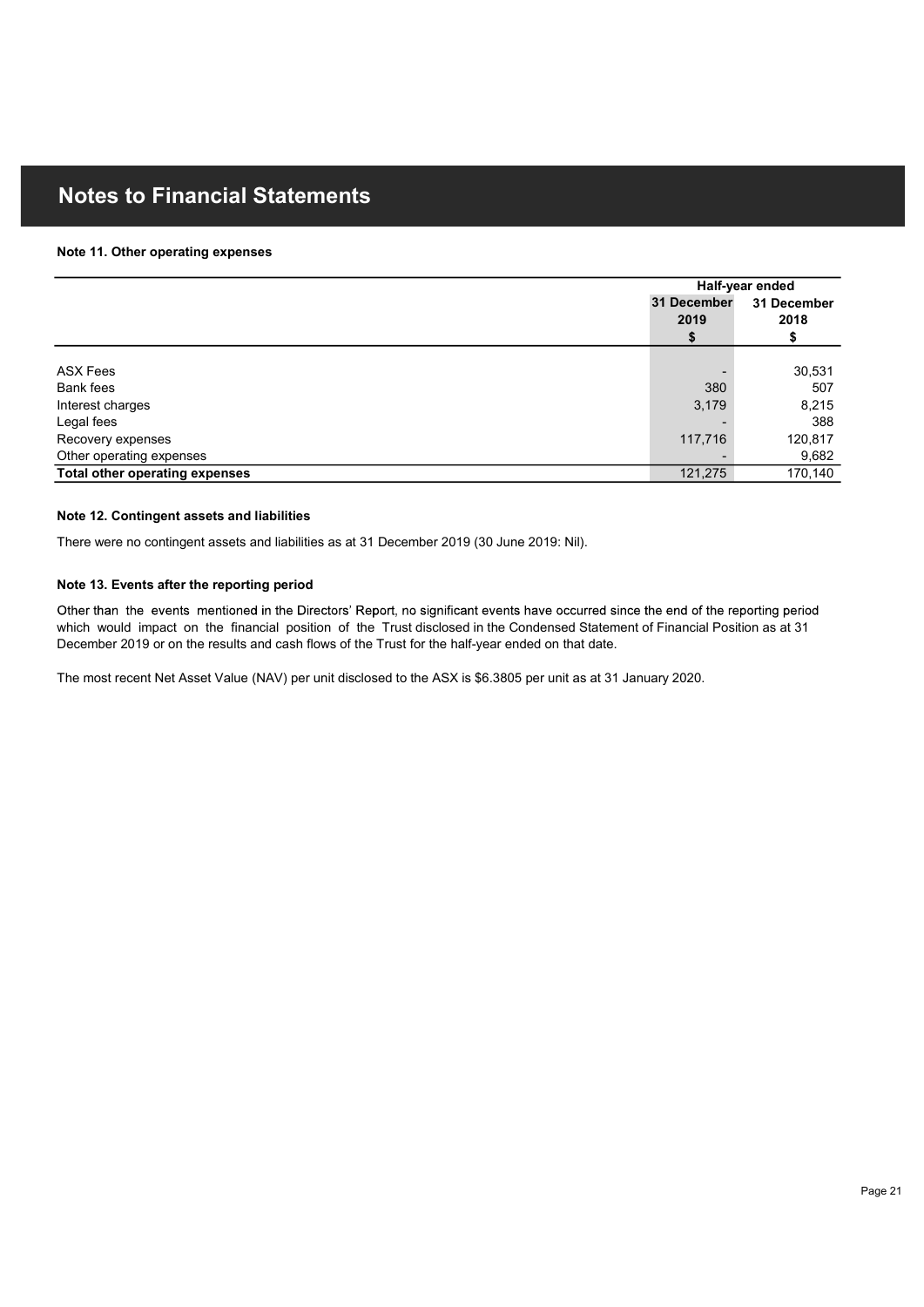#### Note 11. Other operating expenses

| <b>Notes to Financial Statements</b>                                                        |             |                   |
|---------------------------------------------------------------------------------------------|-------------|-------------------|
|                                                                                             |             |                   |
|                                                                                             |             |                   |
| Note 11. Other operating expenses                                                           |             |                   |
|                                                                                             |             |                   |
|                                                                                             |             | Half-year ended   |
|                                                                                             | 31 December | 31 December       |
|                                                                                             | 2019        | 2018              |
|                                                                                             | \$          | \$                |
| <b>ASX Fees</b>                                                                             |             | 30,531            |
| <b>Bank fees</b>                                                                            | 380         | 507               |
| Interest charges                                                                            | 3,179       | 8,215             |
|                                                                                             |             | 388               |
|                                                                                             | 117,716     | 120,817           |
| Legal fees                                                                                  |             |                   |
| Recovery expenses                                                                           |             |                   |
| Other operating expenses                                                                    | 121,275     | 9,682<br>170, 140 |
| Total other operating expenses                                                              |             |                   |
|                                                                                             |             |                   |
| Note 12. Contingent assets and liabilities                                                  |             |                   |
| There were no contingent assets and liabilities as at 31 December 2019 (30 June 2019: Nil). |             |                   |

### Note 13. Events after the reporting period

Other than the events mentioned in the Directors' Report, no significant events have occurred since the end of the reporting period which would impact on the financial position of the Trust disclosed in the Condensed Statement of Financial Position as at 31 December 2019 or on the results and cash flows of the Trust for the half-year ended on that date.

The most recent Net Asset Value (NAV) per unit disclosed to the ASX is \$6.3805 per unit as at 31 January 2020.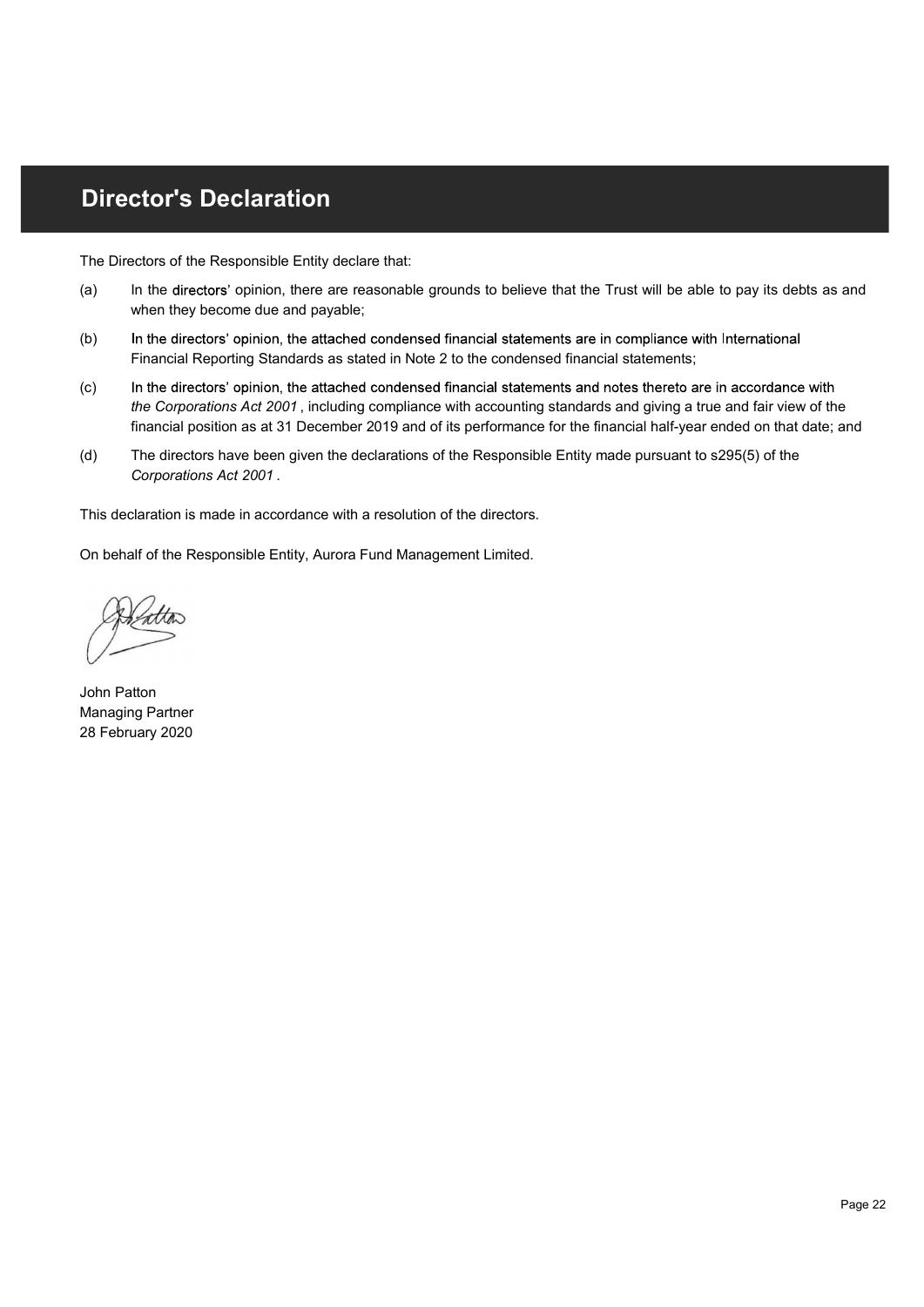## Director's Declaration

The Directors of the Responsible Entity declare that:

- (a) In the directors' opinion, there are reasonable grounds to believe that the Trust will be able to pay its debts as and **Ctor's Declaration**<br>
In the directors' opinion, there are reasonable grounds to believe that the Trust will be able to pay its debts as and<br>
When they become due and payable;<br>
In the directors' opinion, the attached conde when they become due and payable;
- (b) In the directors' opinion, the attached condensed financial statements are in compliance with International Financial Reporting Standards as stated in Note 2 to the condensed financial statements;
- (c) In the directors' opinion, the attached condensed financial statements and notes thereto are in accordance with the Corporations Act 2001 , including compliance with accounting standards and giving a true and fair view of the financial position as at 31 December 2019 and of its performance for the financial half-year ended on that date; and
- (d) The directors have been given the declarations of the Responsible Entity made pursuant to s295(5) of the Corporations Act 2001 .

This declaration is made in accordance with a resolution of the directors.

On behalf of the Responsible Entity, Aurora Fund Management Limited.

John Patton Managing Partner 28 February 2020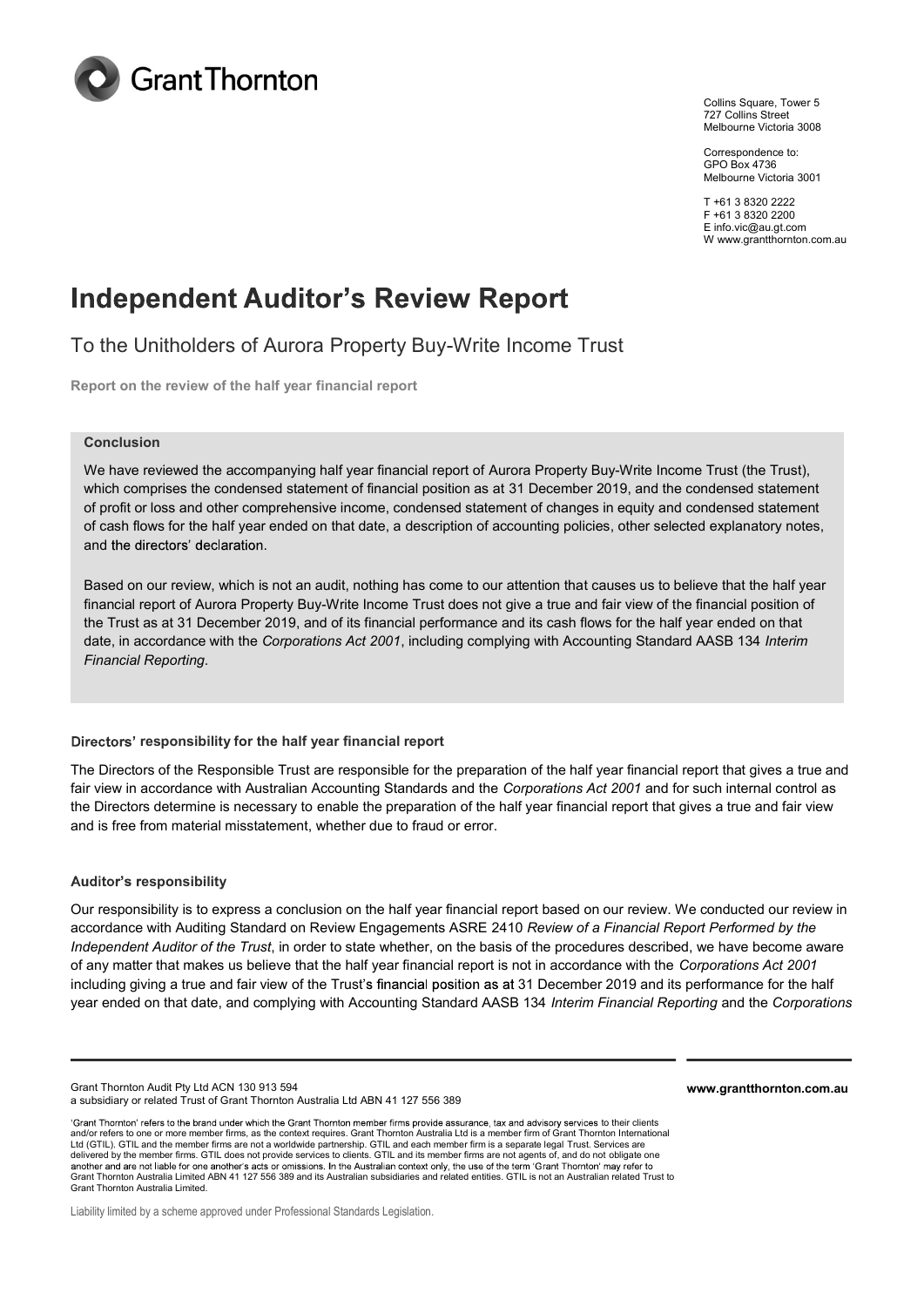

Collins Square, Tower 5 727 Collins Street Melbourne Victoria 3008

Correspondence to: GPO Box 4736 Melbourne Victoria 3001

T +61 3 8320 2222 F +61 3 8320 2200 E info.vic@au.gt.com W www.grantthornton.com.au

## **Independent Auditor's Review Report**

To the Unitholders of Aurora Property Buy-Write Income Trust

Report on the review of the half year financial report

#### Conclusion

We have reviewed the accompanying half year financial report of Aurora Property Buy-Write Income Trust (the Trust), which comprises the condensed statement of financial position as at 31 December 2019, and the condensed statement of profit or loss and other comprehensive income, condensed statement of changes in equity and condensed statement of cash flows for the half year ended on that date, a description of accounting policies, other selected explanatory notes,

and the directors' declaration.<br>Based on our review, which is not an audit, nothing has come to our attention that causes us to believe that the half year financial report of Aurora Property Buy-Write Income Trust does not give a true and fair view of the financial position of the Trust as at 31 December 2019, and of its financial performance and its cash flows for the half year ended on that date, in accordance with the Corporations Act 2001, including complying with Accounting Standard AASB 134 Interim Financial Reporting.

### Directors' responsibility for the half year financial report

The Directors of the Responsible Trust are responsible for the preparation of the half year financial report that gives a true and fair view in accordance with Australian Accounting Standards and the Corporations Act 2001 and for such internal control as the Directors determine is necessary to enable the preparation of the half year financial report that gives a true and fair view and is free from material misstatement, whether due to fraud or error.

### Auditor's responsibility

Our responsibility is to express a conclusion on the half year financial report based on our review. We conducted our review in accordance with Auditing Standard on Review Engagements ASRE 2410 Review of a Financial Report Performed by the Independent Auditor of the Trust, in order to state whether, on the basis of the procedures described, we have become aware of any matter that makes us believe that the half year financial report is not in accordance with the Corporations Act 2001 including giving a true and fair view of the Trust's financial position as at 31 December 2019 and its performance for the half year ended on that date, and complying with Accounting Standard AASB 134 Interim Financial Reporting and the Corporations

Grant Thornton Audit Pty Ltd ACN 130 913 594 a subsidiary or related Trust of Grant Thornton Australia Ltd ABN 41 127 556 389

'Grant Thornton' refers to the brand under which the Grant Thornton member firms provide assurance, tax and advisory services to their clients and/or refers to one or more member firms, as the context requires. Grant Thornton Australia Ltd is a member firm of Grant Thornton International Ltd (GTIL). GTIL and the member firms are not a worldwide partnership. GTIL and each member firm is a separate legal Trust. Services are delivered by the member firms. GTIL does not provide services to clients. GTIL and its member firms are not agents of, and do not obligate one<br>another and are not liable for one another's acts or omissions. In the Australi Grant Thornton Australia Limited ABN 41 127 556 389 and its Australian subsidiaries and related entities. GTIL is not an Australian related Trust to Grant Thornton Australia Limited.

Liability limited by a scheme approved under Professional Standards Legislation.

www.grantthornton.com.au